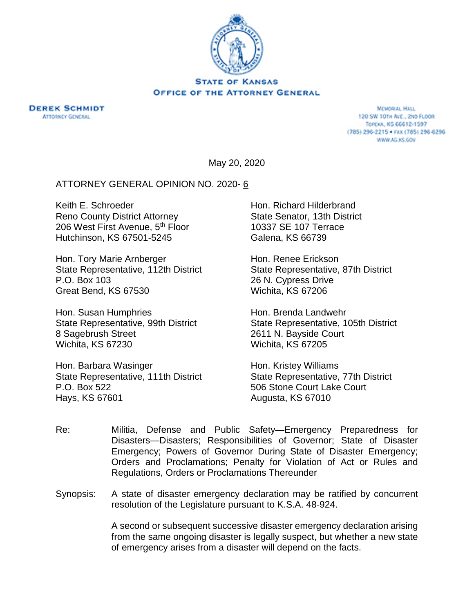

**DEREK SCHMIDT ATTORNEY GENERAL** 

**MEMORIAL HALL** 120 SW 101H AVE., 2ND FLOOR TOPEKA, KS 66612-1597 (785) 296-2215 · FAX (785) 296-6296 WWW.AG.KS.GOV

May 20, 2020

### ATTORNEY GENERAL OPINION NO. 2020- 6

Keith E. Schroeder Reno County District Attorney 206 West First Avenue, 5<sup>th</sup> Floor Hutchinson, KS 67501-5245

Hon. Tory Marie Arnberger State Representative, 112th District P.O. Box 103 Great Bend, KS 67530

Hon. Susan Humphries State Representative, 99th District 8 Sagebrush Street Wichita, KS 67230

Hon. Barbara Wasinger State Representative, 111th District P.O. Box 522 Hays, KS 67601

Hon. Richard Hilderbrand State Senator, 13th District 10337 SE 107 Terrace Galena, KS 66739

Hon. Renee Erickson State Representative, 87th District 26 N. Cypress Drive Wichita, KS 67206

Hon. Brenda Landwehr State Representative, 105th District 2611 N. Bayside Court Wichita, KS 67205

Hon. Kristey Williams State Representative, 77th District 506 Stone Court Lake Court Augusta, KS 67010

- Re: Militia, Defense and Public Safety—Emergency Preparedness for Disasters—Disasters; Responsibilities of Governor; State of Disaster Emergency; Powers of Governor During State of Disaster Emergency; Orders and Proclamations; Penalty for Violation of Act or Rules and Regulations, Orders or Proclamations Thereunder
- Synopsis: A state of disaster emergency declaration may be ratified by concurrent resolution of the Legislature pursuant to K.S.A. 48-924.

A second or subsequent successive disaster emergency declaration arising from the same ongoing disaster is legally suspect, but whether a new state of emergency arises from a disaster will depend on the facts.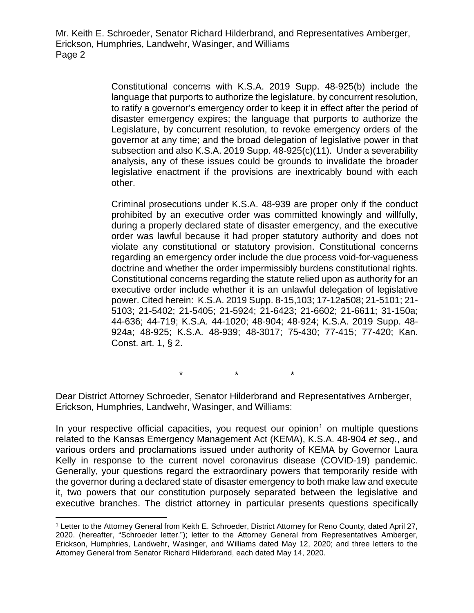> Constitutional concerns with K.S.A. 2019 Supp. 48-925(b) include the language that purports to authorize the legislature, by concurrent resolution, to ratify a governor's emergency order to keep it in effect after the period of disaster emergency expires; the language that purports to authorize the Legislature, by concurrent resolution, to revoke emergency orders of the governor at any time; and the broad delegation of legislative power in that subsection and also K.S.A. 2019 Supp. 48-925(c)(11). Under a severability analysis, any of these issues could be grounds to invalidate the broader legislative enactment if the provisions are inextricably bound with each other.

> Criminal prosecutions under K.S.A. 48-939 are proper only if the conduct prohibited by an executive order was committed knowingly and willfully, during a properly declared state of disaster emergency, and the executive order was lawful because it had proper statutory authority and does not violate any constitutional or statutory provision. Constitutional concerns regarding an emergency order include the due process void-for-vagueness doctrine and whether the order impermissibly burdens constitutional rights. Constitutional concerns regarding the statute relied upon as authority for an executive order include whether it is an unlawful delegation of legislative power. Cited herein: K.S.A. 2019 Supp. 8-15,103; 17-12a508; 21-5101; 21- 5103; 21-5402; 21-5405; 21-5924; 21-6423; 21-6602; 21-6611; 31-150a; 44-636; 44-719; K.S.A. 44-1020; 48-904; 48-924; K.S.A. 2019 Supp. 48- 924a; 48-925; K.S.A. 48-939; 48-3017; 75-430; 77-415; 77-420; Kan. Const. art. 1, § 2.

> > \* \* \*

Dear District Attorney Schroeder, Senator Hilderbrand and Representatives Arnberger, Erickson, Humphries, Landwehr, Wasinger, and Williams:

In your respective official capacities, you request our opinion<sup>[1](#page-1-0)</sup> on multiple questions related to the Kansas Emergency Management Act (KEMA), K.S.A. 48-904 *et seq*., and various orders and proclamations issued under authority of KEMA by Governor Laura Kelly in response to the current novel coronavirus disease (COVID-19) pandemic. Generally, your questions regard the extraordinary powers that temporarily reside with the governor during a declared state of disaster emergency to both make law and execute it, two powers that our constitution purposely separated between the legislative and executive branches. The district attorney in particular presents questions specifically

<span id="page-1-0"></span> <sup>1</sup> Letter to the Attorney General from Keith E. Schroeder, District Attorney for Reno County, dated April 27, 2020. (hereafter, "Schroeder letter."); letter to the Attorney General from Representatives Arnberger, Erickson, Humphries, Landwehr, Wasinger, and Williams dated May 12, 2020; and three letters to the Attorney General from Senator Richard Hilderbrand, each dated May 14, 2020.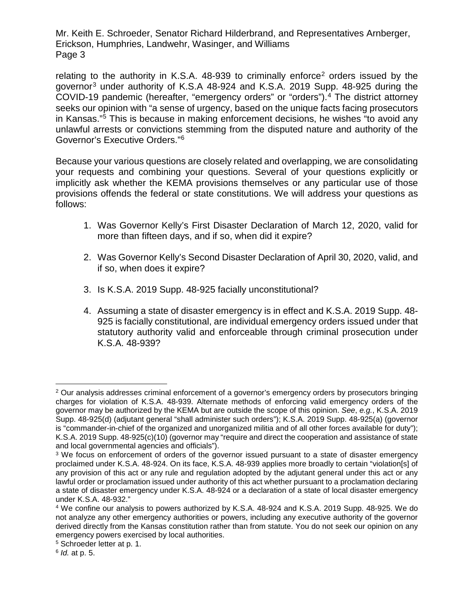relating to the authority in K.S.A.  $48-939$  to criminally enforce<sup>[2](#page-2-0)</sup> orders issued by the governor[3](#page-2-1) under authority of K.S.A 48-924 and K.S.A. 2019 Supp. 48-925 during the COVID-19 pandemic (hereafter, "emergency orders" or "orders").[4](#page-2-2) The district attorney seeks our opinion with "a sense of urgency, based on the unique facts facing prosecutors in Kansas."[5](#page-2-3) This is because in making enforcement decisions, he wishes "to avoid any unlawful arrests or convictions stemming from the disputed nature and authority of the Governor's Executive Orders."[6](#page-2-4)

Because your various questions are closely related and overlapping, we are consolidating your requests and combining your questions. Several of your questions explicitly or implicitly ask whether the KEMA provisions themselves or any particular use of those provisions offends the federal or state constitutions. We will address your questions as follows:

- 1. Was Governor Kelly's First Disaster Declaration of March 12, 2020, valid for more than fifteen days, and if so, when did it expire?
- 2. Was Governor Kelly's Second Disaster Declaration of April 30, 2020, valid, and if so, when does it expire?
- 3. Is K.S.A. 2019 Supp. 48-925 facially unconstitutional?
- 4. Assuming a state of disaster emergency is in effect and K.S.A. 2019 Supp. 48- 925 is facially constitutional, are individual emergency orders issued under that statutory authority valid and enforceable through criminal prosecution under K.S.A. 48-939?

<span id="page-2-0"></span> <sup>2</sup> Our analysis addresses criminal enforcement of a governor's emergency orders by prosecutors bringing charges for violation of K.S.A. 48-939. Alternate methods of enforcing valid emergency orders of the governor may be authorized by the KEMA but are outside the scope of this opinion. *See*, *e.g.*, K.S.A. 2019 Supp. 48-925(d) (adjutant general "shall administer such orders"); K.S.A. 2019 Supp. 48-925(a) (governor is "commander-in-chief of the organized and unorganized militia and of all other forces available for duty"); K.S.A. 2019 Supp. 48-925(c)(10) (governor may "require and direct the cooperation and assistance of state and local governmental agencies and officials").

<span id="page-2-1"></span><sup>&</sup>lt;sup>3</sup> We focus on enforcement of orders of the governor issued pursuant to a state of disaster emergency proclaimed under K.S.A. 48-924. On its face, K.S.A. 48-939 applies more broadly to certain "violation[s] of any provision of this act or any rule and regulation adopted by the adjutant general under this act or any lawful order or proclamation issued under authority of this act whether pursuant to a proclamation declaring a state of disaster emergency under K.S.A. 48-924 or a declaration of a state of local disaster emergency under K.S.A. 48-932."<br><sup>4</sup> We confine our analysis to powers authorized by K.S.A. 48-924 and K.S.A. 2019 Supp. 48-925. We do

<span id="page-2-2"></span>not analyze any other emergency authorities or powers, including any executive authority of the governor derived directly from the Kansas constitution rather than from statute. You do not seek our opinion on any emergency powers exercised by local authorities.

<span id="page-2-3"></span><sup>5</sup> Schroeder letter at p. 1.

<span id="page-2-4"></span><sup>6</sup> *Id.* at p. 5.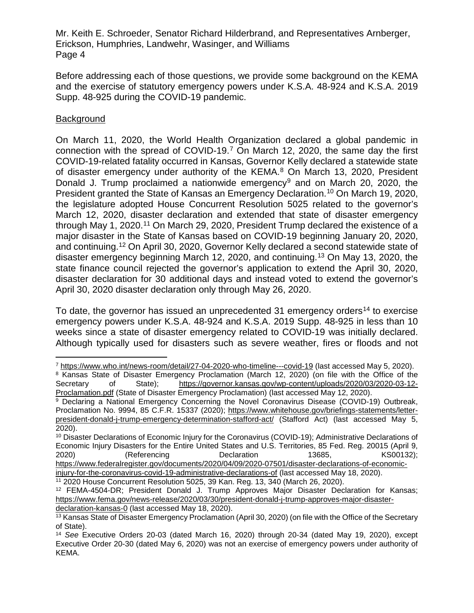Before addressing each of those questions, we provide some background on the KEMA and the exercise of statutory emergency powers under K.S.A. 48-924 and K.S.A. 2019 Supp. 48-925 during the COVID-19 pandemic.

# **Background**

On March 11, 2020, the World Health Organization declared a global pandemic in connection with the spread of COVID-19.[7](#page-3-0) On March 12, 2020, the same day the first COVID-19-related fatality occurred in Kansas, Governor Kelly declared a statewide state of disaster emergency under authority of the KEMA.<sup>[8](#page-3-1)</sup> On March 13, 2020, President Donald J. Trump proclaimed a nationwide emergency<sup>[9](#page-3-2)</sup> and on March 20, 2020, the President granted the State of Kansas an Emergency Declaration.[10](#page-3-3) On March 19, 2020, the legislature adopted House Concurrent Resolution 5025 related to the governor's March 12, 2020, disaster declaration and extended that state of disaster emergency through May 1, 2020.<sup>[11](#page-3-4)</sup> On March 29, 2020, President Trump declared the existence of a major disaster in the State of Kansas based on COVID-19 beginning January 20, 2020, and continuing.[12](#page-3-5) On April 30, 2020, Governor Kelly declared a second statewide state of disaster emergency beginning March 12, 2020, and continuing. [13](#page-3-6) On May 13, 2020, the state finance council rejected the governor's application to extend the April 30, 2020, disaster declaration for 30 additional days and instead voted to extend the governor's April 30, 2020 disaster declaration only through May 26, 2020.

To date, the governor has issued an unprecedented 31 emergency orders<sup>[14](#page-3-7)</sup> to exercise emergency powers under K.S.A. 48-924 and K.S.A. 2019 Supp. 48-925 in less than 10 weeks since a state of disaster emergency related to COVID-19 was initially declared. Although typically used for disasters such as severe weather, fires or floods and not

<span id="page-3-0"></span> <sup>7</sup> <https://www.who.int/news-room/detail/27-04-2020-who-timeline---covid-19> (last accessed May 5, 2020).

<span id="page-3-1"></span><sup>&</sup>lt;sup>8</sup> Kansas State of Disaster Emergency Proclamation (March 12, 2020) (on file with the Office of the Secretary of State); [https://governor.kansas.gov/wp-content/uploads/2020/03/2020-03-12-](https://governor.kansas.gov/wp-content/uploads/2020/03/2020-03-12-Proclamation.pdf) [Proclamation.pdf](https://governor.kansas.gov/wp-content/uploads/2020/03/2020-03-12-Proclamation.pdf) (State of Disaster Emergency Proclamation) (last accessed May 12, 2020).

<span id="page-3-2"></span><sup>9</sup> Declaring a National Emergency Concerning the Novel Coronavirus Disease (COVID-19) Outbreak, Proclamation No. 9994, 85 C.F.R. 15337 (2020); [https://www.whitehouse.gov/briefings-statements/letter](https://www.whitehouse.gov/briefings-statements/letter-president-donald-j-trump-emergency-determination-stafford-act/)[president-donald-j-trump-emergency-determination-stafford-act/](https://www.whitehouse.gov/briefings-statements/letter-president-donald-j-trump-emergency-determination-stafford-act/) (Stafford Act) (last accessed May 5, 2020).

<span id="page-3-3"></span><sup>10</sup> Disaster Declarations of Economic Injury for the Coronavirus (COVID-19); Administrative Declarations of Economic Injury Disasters for the Entire United States and U.S. Territories, 85 Fed. Reg. 20015 (April 9, 2020) (Referencing Declaration 13685, KS00132); [https://www.federalregister.gov/documents/2020/04/09/2020-07501/disaster-declarations-of-economic](https://www.federalregister.gov/documents/2020/04/09/2020-07501/disaster-declarations-of-economic-injury-for-the-coronavirus-covid-19-administrative-declarations-of)[injury-for-the-coronavirus-covid-19-administrative-declarations-of](https://www.federalregister.gov/documents/2020/04/09/2020-07501/disaster-declarations-of-economic-injury-for-the-coronavirus-covid-19-administrative-declarations-of) (last accessed May 18, 2020).

<span id="page-3-4"></span><sup>11</sup> 2020 House Concurrent Resolution 5025, 39 Kan. Reg. 13, 340 (March 26, 2020).

<span id="page-3-5"></span><sup>12</sup> FEMA-4504-DR; President Donald J. Trump Approves Major Disaster Declaration for Kansas; [https://www.fema.gov/news-release/2020/03/30/president-donald-j-trump-approves-major-disaster](https://www.fema.gov/news-release/2020/03/30/president-donald-j-trump-approves-major-disaster-declaration-kansas-0)[declaration-kansas-0](https://www.fema.gov/news-release/2020/03/30/president-donald-j-trump-approves-major-disaster-declaration-kansas-0) (last accessed May 18, 2020).

<span id="page-3-6"></span><sup>13</sup> Kansas State of Disaster Emergency Proclamation (April 30, 2020) (on file with the Office of the Secretary of State).

<span id="page-3-7"></span><sup>14</sup> *See* Executive Orders 20-03 (dated March 16, 2020) through 20-34 (dated May 19, 2020), except Executive Order 20-30 (dated May 6, 2020) was not an exercise of emergency powers under authority of KEMA.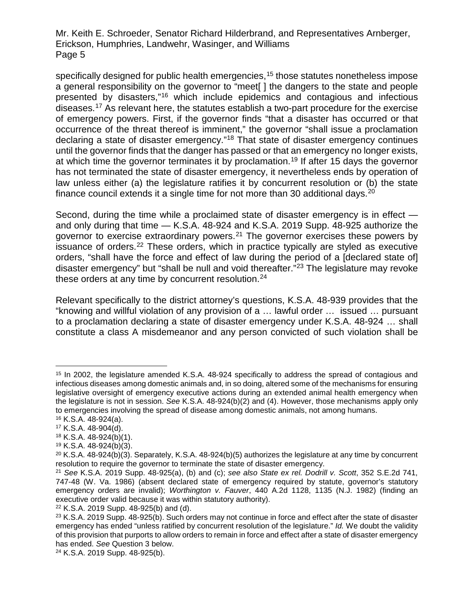specifically designed for public health emergencies, [15](#page-4-0) those statutes nonetheless impose a general responsibility on the governor to "meet[ ] the dangers to the state and people presented by disasters,"[16](#page-4-1) which include epidemics and contagious and infectious diseases.[17](#page-4-2) As relevant here, the statutes establish a two-part procedure for the exercise of emergency powers. First, if the governor finds "that a disaster has occurred or that occurrence of the threat thereof is imminent," the governor "shall issue a proclamation declaring a state of disaster emergency."[18](#page-4-3) That state of disaster emergency continues until the governor finds that the danger has passed or that an emergency no longer exists, at which time the governor terminates it by proclamation.<sup>[19](#page-4-4)</sup> If after 15 days the governor has not terminated the state of disaster emergency, it nevertheless ends by operation of law unless either (a) the legislature ratifies it by concurrent resolution or (b) the state finance council extends it a single time for not more than 30 additional days.<sup>[20](#page-4-5)</sup>

Second, during the time while a proclaimed state of disaster emergency is in effect and only during that time — K.S.A. 48-924 and K.S.A. 2019 Supp. 48-925 authorize the governor to exercise extraordinary powers.<sup>[21](#page-4-6)</sup> The governor exercises these powers by issuance of orders.<sup>[22](#page-4-7)</sup> These orders, which in practice typically are styled as executive orders, "shall have the force and effect of law during the period of a [declared state of] disaster emergency" but "shall be null and void thereafter."<sup>[23](#page-4-8)</sup> The legislature may revoke these orders at any time by concurrent resolution.<sup>[24](#page-4-9)</sup>

Relevant specifically to the district attorney's questions, K.S.A. 48-939 provides that the "knowing and willful violation of any provision of a … lawful order … issued … pursuant to a proclamation declaring a state of disaster emergency under K.S.A. 48-924 … shall constitute a class A misdemeanor and any person convicted of such violation shall be

<span id="page-4-0"></span><sup>&</sup>lt;sup>15</sup> In 2002, the legislature amended K.S.A. 48-924 specifically to address the spread of contagious and infectious diseases among domestic animals and, in so doing, altered some of the mechanisms for ensuring legislative oversight of emergency executive actions during an extended animal health emergency when the legislature is not in session. *See* K.S.A. 48-924(b)(2) and (4). However, those mechanisms apply only to emergencies involving the spread of disease among domestic animals, not among humans.

<span id="page-4-1"></span><sup>16</sup> K.S.A. 48-924(a).

<span id="page-4-2"></span><sup>17</sup> K.S.A. 48-904(d).

<span id="page-4-3"></span><sup>18</sup> K.S.A. 48-924(b)(1).

<span id="page-4-4"></span><sup>19</sup> K.S.A. 48-924(b)(3).

<span id="page-4-5"></span> $20$  K.S.A. 48-924(b)(3). Separately, K.S.A. 48-924(b)(5) authorizes the legislature at any time by concurrent resolution to require the governor to terminate the state of disaster emergency.

<span id="page-4-6"></span><sup>21</sup> *See* K.S.A. 2019 Supp. 48-925(a), (b) and (c); *see also State ex rel. Dodrill v. Scott*, 352 S.E.2d 741, 747-48 (W. Va. 1986) (absent declared state of emergency required by statute, governor's statutory emergency orders are invalid); *Worthington v. Fauver*, 440 A.2d 1128, 1135 (N.J. 1982) (finding an executive order valid because it was within statutory authority).

<span id="page-4-7"></span><sup>22</sup> K.S.A. 2019 Supp. 48-925(b) and (d).

<span id="page-4-8"></span><sup>&</sup>lt;sup>23</sup> K.S.A. 2019 Supp. 48-925(b). Such orders may not continue in force and effect after the state of disaster emergency has ended "unless ratified by concurrent resolution of the legislature." *Id.* We doubt the validity of this provision that purports to allow orders to remain in force and effect after a state of disaster emergency has ended. *See* Question 3 below.

<span id="page-4-9"></span><sup>24</sup> K.S.A. 2019 Supp. 48-925(b).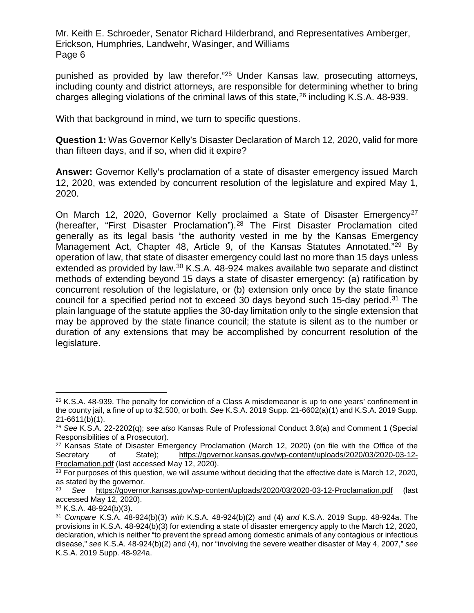punished as provided by law therefor."[25](#page-5-0) Under Kansas law, prosecuting attorneys, including county and district attorneys, are responsible for determining whether to bring charges alleging violations of the criminal laws of this state, [26](#page-5-1) including K.S.A. 48-939.

With that background in mind, we turn to specific questions.

**Question 1:** Was Governor Kelly's Disaster Declaration of March 12, 2020, valid for more than fifteen days, and if so, when did it expire?

**Answer:** Governor Kelly's proclamation of a state of disaster emergency issued March 12, 2020, was extended by concurrent resolution of the legislature and expired May 1, 2020.

On March 12, 2020, Governor Kelly proclaimed a State of Disaster Emergency<sup>[27](#page-5-2)</sup> (hereafter, "First Disaster Proclamation").[28](#page-5-3) The First Disaster Proclamation cited generally as its legal basis "the authority vested in me by the Kansas Emergency Management Act, Chapter 48, Article 9, of the Kansas Statutes Annotated."[29](#page-5-4) By operation of law, that state of disaster emergency could last no more than 15 days unless extended as provided by law.<sup>[30](#page-5-5)</sup> K.S.A. 48-924 makes available two separate and distinct methods of extending beyond 15 days a state of disaster emergency: (a) ratification by concurrent resolution of the legislature, or (b) extension only once by the state finance council for a specified period not to exceed 30 days beyond such 15-day period[.31](#page-5-6) The plain language of the statute applies the 30-day limitation only to the single extension that may be approved by the state finance council; the statute is silent as to the number or duration of any extensions that may be accomplished by concurrent resolution of the legislature.

<span id="page-5-0"></span> <sup>25</sup> K.S.A. 48-939. The penalty for conviction of a Class A misdemeanor is up to one years' confinement in the county jail, a fine of up to \$2,500, or both. *See* K.S.A. 2019 Supp. 21-6602(a)(1) and K.S.A. 2019 Supp. 21-6611(b)(1).

<span id="page-5-1"></span><sup>26</sup> *See* K.S.A. 22-2202(q); *see also* Kansas Rule of Professional Conduct 3.8(a) and Comment 1 (Special Responsibilities of a Prosecutor).

<span id="page-5-2"></span><sup>&</sup>lt;sup>27</sup> Kansas State of Disaster Emergency Proclamation (March 12, 2020) (on file with the Office of the<br>Secretary of State): https://governor.kansas.gov/wp-content/uploads/2020/03/2020-03-12[https://governor.kansas.gov/wp-content/uploads/2020/03/2020-03-12-](https://governor.kansas.gov/wp-content/uploads/2020/03/2020-03-12-Proclamation.pdf) [Proclamation.pdf](https://governor.kansas.gov/wp-content/uploads/2020/03/2020-03-12-Proclamation.pdf) (last accessed May 12, 2020).

<span id="page-5-3"></span><sup>&</sup>lt;sup>28</sup> For purposes of this question, we will assume without deciding that the effective date is March 12, 2020, as stated by the governor.<br> $\frac{29}{20}$  Soo https://governor

<span id="page-5-4"></span><sup>29</sup> *See* <https://governor.kansas.gov/wp-content/uploads/2020/03/2020-03-12-Proclamation.pdf> (last accessed May 12, 2020).

<span id="page-5-5"></span><sup>30</sup> K.S.A. 48-924(b)(3).

<span id="page-5-6"></span><sup>31</sup> *Compare* K.S.A. 48-924(b)(3) *with* K.S.A. 48-924(b)(2) and (4) *and* K.S.A. 2019 Supp. 48-924a. The provisions in K.S.A. 48-924(b)(3) for extending a state of disaster emergency apply to the March 12, 2020, declaration, which is neither "to prevent the spread among domestic animals of any contagious or infectious disease," *see* K.S.A. 48-924(b)(2) and (4), nor "involving the severe weather disaster of May 4, 2007," *see* K.S.A. 2019 Supp. 48-924a.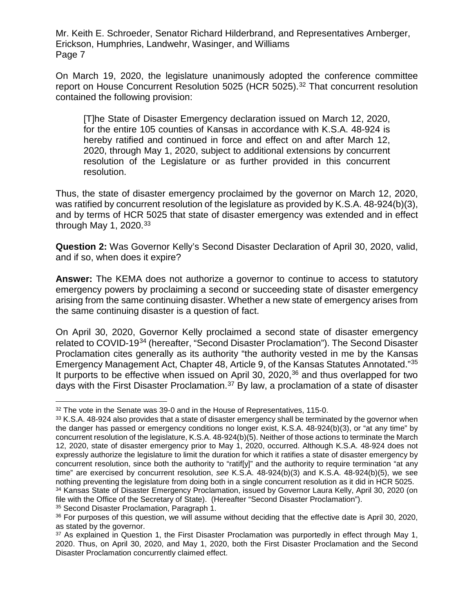On March 19, 2020, the legislature unanimously adopted the conference committee report on House Concurrent Resolution 5025 (HCR 5025). [32](#page-6-0) That concurrent resolution contained the following provision:

[T]he State of Disaster Emergency declaration issued on March 12, 2020, for the entire 105 counties of Kansas in accordance with K.S.A. 48-924 is hereby ratified and continued in force and effect on and after March 12, 2020, through May 1, 2020, subject to additional extensions by concurrent resolution of the Legislature or as further provided in this concurrent resolution.

Thus, the state of disaster emergency proclaimed by the governor on March 12, 2020, was ratified by concurrent resolution of the legislature as provided by K.S.A. 48-924(b)(3), and by terms of HCR 5025 that state of disaster emergency was extended and in effect through May 1, 2020. $33$ 

**Question 2:** Was Governor Kelly's Second Disaster Declaration of April 30, 2020, valid, and if so, when does it expire?

**Answer:** The KEMA does not authorize a governor to continue to access to statutory emergency powers by proclaiming a second or succeeding state of disaster emergency arising from the same continuing disaster. Whether a new state of emergency arises from the same continuing disaster is a question of fact.

On April 30, 2020, Governor Kelly proclaimed a second state of disaster emergency related to COVID-19[34](#page-6-2) (hereafter, "Second Disaster Proclamation"). The Second Disaster Proclamation cites generally as its authority "the authority vested in me by the Kansas Emergency Management Act, Chapter 48, Article 9, of the Kansas Statutes Annotated."[35](#page-6-3) It purports to be effective when issued on April 30,  $2020$ ,  $36$  and thus overlapped for two days with the First Disaster Proclamation.<sup>[37](#page-6-5)</sup> By law, a proclamation of a state of disaster

<span id="page-6-3"></span><span id="page-6-2"></span><sup>35</sup> Second Disaster Proclamation, Paragraph 1.

<span id="page-6-0"></span><sup>&</sup>lt;sup>32</sup> The vote in the Senate was 39-0 and in the House of Representatives, 115-0.

<span id="page-6-1"></span><sup>&</sup>lt;sup>33</sup> K.S.A. 48-924 also provides that a state of disaster emergency shall be terminated by the governor when the danger has passed or emergency conditions no longer exist, K.S.A. 48-924(b)(3), or "at any time" by concurrent resolution of the legislature, K.S.A. 48-924(b)(5). Neither of those actions to terminate the March 12, 2020, state of disaster emergency prior to May 1, 2020, occurred. Although K.S.A. 48-924 does not expressly authorize the legislature to limit the duration for which it ratifies a state of disaster emergency by concurrent resolution, since both the authority to "ratif[y]" and the authority to require termination "at any time" are exercised by concurrent resolution, *see* K.S.A. 48-924(b)(3) and K.S.A. 48-924(b)(5), we see nothing preventing the legislature from doing both in a single concurrent resolution as it did in HCR 5025. <sup>34</sup> Kansas State of Disaster Emergency Proclamation, issued by Governor Laura Kelly, April 30, 2020 (on file with the Office of the Secretary of State). (Hereafter "Second Disaster Proclamation").

<span id="page-6-4"></span><sup>36</sup> For purposes of this question, we will assume without deciding that the effective date is April 30, 2020, as stated by the governor.

<span id="page-6-5"></span><sup>&</sup>lt;sup>37</sup> As explained in Question 1, the First Disaster Proclamation was purportedly in effect through May 1, 2020. Thus, on April 30, 2020, and May 1, 2020, both the First Disaster Proclamation and the Second Disaster Proclamation concurrently claimed effect.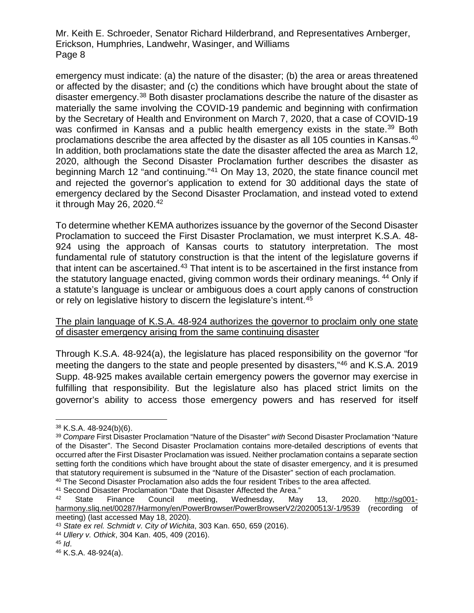emergency must indicate: (a) the nature of the disaster; (b) the area or areas threatened or affected by the disaster; and (c) the conditions which have brought about the state of disaster emergency.[38](#page-7-0) Both disaster proclamations describe the nature of the disaster as materially the same involving the COVID-19 pandemic and beginning with confirmation by the Secretary of Health and Environment on March 7, 2020, that a case of COVID-19 was confirmed in Kansas and a public health emergency exists in the state.<sup>[39](#page-7-1)</sup> Both proclamations describe the area affected by the disaster as all 105 counties in Kansas.[40](#page-7-2) In addition, both proclamations state the date the disaster affected the area as March 12, 2020, although the Second Disaster Proclamation further describes the disaster as beginning March 12 "and continuing."[41](#page-7-3) On May 13, 2020, the state finance council met and rejected the governor's application to extend for 30 additional days the state of emergency declared by the Second Disaster Proclamation, and instead voted to extend it through May 26, 2020.<sup>[42](#page-7-4)</sup>

To determine whether KEMA authorizes issuance by the governor of the Second Disaster Proclamation to succeed the First Disaster Proclamation, we must interpret K.S.A. 48- 924 using the approach of Kansas courts to statutory interpretation. The most fundamental rule of statutory construction is that the intent of the legislature governs if that intent can be ascertained.<sup>[43](#page-7-5)</sup> That intent is to be ascertained in the first instance from the statutory language enacted, giving common words their ordinary meanings. [44](#page-7-6) Only if a statute's language is unclear or ambiguous does a court apply canons of construction or rely on legislative history to discern the legislature's intent.<sup>[45](#page-7-7)</sup>

#### The plain language of K.S.A. 48-924 authorizes the governor to proclaim only one state of disaster emergency arising from the same continuing disaster

Through K.S.A. 48-924(a), the legislature has placed responsibility on the governor "for meeting the dangers to the state and people presented by disasters,"[46](#page-7-8) and K.S.A. 2019 Supp. 48-925 makes available certain emergency powers the governor may exercise in fulfilling that responsibility. But the legislature also has placed strict limits on the governor's ability to access those emergency powers and has reserved for itself

<span id="page-7-0"></span> <sup>38</sup> K.S.A. 48-924(b)(6).

<span id="page-7-1"></span><sup>39</sup> *Compare* First Disaster Proclamation "Nature of the Disaster" *with* Second Disaster Proclamation "Nature of the Disaster". The Second Disaster Proclamation contains more-detailed descriptions of events that occurred after the First Disaster Proclamation was issued. Neither proclamation contains a separate section setting forth the conditions which have brought about the state of disaster emergency, and it is presumed that statutory requirement is subsumed in the "Nature of the Disaster" section of each proclamation. <sup>40</sup> The Second Disaster Proclamation also adds the four resident Tribes to the area affected.

<span id="page-7-3"></span><span id="page-7-2"></span><sup>&</sup>lt;sup>41</sup> Second Disaster Proclamation "Date that Disaster Affected the Area."<br><sup>42</sup> State Finance Council meeting Wednesday May

<span id="page-7-4"></span><sup>42</sup> State Finance Council meeting, Wednesday, May 13, 2020. [http://sg001](http://sg001-harmony.sliq.net/00287/Harmony/en/PowerBrowser/PowerBrowserV2/20200513/-1/9539) [harmony.sliq.net/00287/Harmony/en/PowerBrowser/PowerBrowserV2/20200513/-1/9539](http://sg001-harmony.sliq.net/00287/Harmony/en/PowerBrowser/PowerBrowserV2/20200513/-1/9539) (recording of meeting) (last accessed May 18, 2020).

<span id="page-7-5"></span><sup>43</sup> *State ex rel. Schmidt v. City of Wichita*, 303 Kan. 650, 659 (2016).

<span id="page-7-6"></span><sup>44</sup> *Ullery v. Othick*, 304 Kan. 405, 409 (2016).

<span id="page-7-7"></span><sup>45</sup> *Id*.

<span id="page-7-8"></span><sup>46</sup> K.S.A. 48-924(a).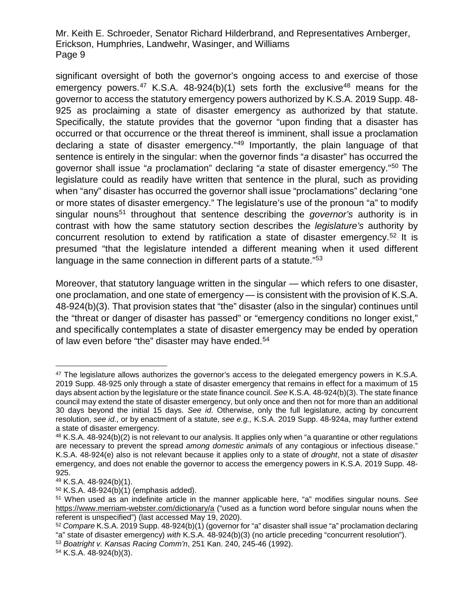significant oversight of both the governor's ongoing access to and exercise of those emergency powers.<sup>[47](#page-8-0)</sup> K.S.A. [48](#page-8-1)-924(b)(1) sets forth the exclusive<sup>48</sup> means for the governor to access the statutory emergency powers authorized by K.S.A. 2019 Supp. 48- 925 as proclaiming a state of disaster emergency as authorized by that statute. Specifically, the statute provides that the governor "upon finding that a disaster has occurred or that occurrence or the threat thereof is imminent, shall issue a proclamation declaring a state of disaster emergency."[49](#page-8-2) Importantly, the plain language of that sentence is entirely in the singular: when the governor finds "*a* disaster" has occurred the governor shall issue "*a* proclamation" declaring "*a* state of disaster emergency."[50](#page-8-3) The legislature could as readily have written that sentence in the plural, such as providing when "any" disaster has occurred the governor shall issue "proclamations" declaring "one or more states of disaster emergency." The legislature's use of the pronoun "a" to modify singular nouns<sup>[51](#page-8-4)</sup> throughout that sentence describing the *governor's* authority is in contrast with how the same statutory section describes the *legislature's* authority by concurrent resolution to extend by ratification a state of disaster emergency.<sup>[52](#page-8-5)</sup> It is presumed "that the legislature intended a different meaning when it used different language in the same connection in different parts of a statute."<sup>[53](#page-8-6)</sup>

Moreover, that statutory language written in the singular — which refers to one disaster, one proclamation, and one state of emergency — is consistent with the provision of K.S.A. 48-924(b)(3). That provision states that "the" disaster (also in the singular) continues until the "threat or danger of disaster has passed" or "emergency conditions no longer exist," and specifically contemplates a state of disaster emergency may be ended by operation of law even before "the" disaster may have ended. [54](#page-8-7)

<span id="page-8-0"></span><sup>&</sup>lt;sup>47</sup> The legislature allows authorizes the governor's access to the delegated emergency powers in K.S.A. 2019 Supp. 48-925 only through a state of disaster emergency that remains in effect for a maximum of 15 days absent action by the legislature or the state finance council. *See* K.S.A. 48-924(b)(3). The state finance council may extend the state of disaster emergency, but only once and then not for more than an additional 30 days beyond the initial 15 days. *See id*. Otherwise, only the full legislature, acting by concurrent resolution, *see id*., or by enactment of a statute, *see e.g.,* K.S.A. 2019 Supp. 48-924a, may further extend a state of disaster emergency.

<span id="page-8-1"></span> $48$  K.S.A.  $48-924(b)(2)$  is not relevant to our analysis. It applies only when "a quarantine or other regulations are necessary to prevent the spread *among domestic animals* of any contagious or infectious disease." K.S.A. 48-924(e) also is not relevant because it applies only to a state of *drought*, not a state of *disaster* emergency, and does not enable the governor to access the emergency powers in K.S.A. 2019 Supp. 48- 925.

<span id="page-8-2"></span><sup>49</sup> K.S.A. 48-924(b)(1).

<span id="page-8-3"></span><sup>50</sup> K.S.A. 48-924(b)(1) (emphasis added).

<span id="page-8-4"></span><sup>51</sup> When used as an indefinite article in the manner applicable here, "a" modifies singular nouns. *See* <https://www.merriam-webster.com/dictionary/a> ("used as a function word before singular nouns when the referent is unspecified") (last accessed May 19, 2020).

<span id="page-8-5"></span><sup>52</sup> *Compare* K.S.A. 2019 Supp. 48-924(b)(1) (governor for "a" disaster shall issue "a" proclamation declaring "a" state of disaster emergency) *with* K.S.A. 48-924(b)(3) (no article preceding "concurrent resolution").

<span id="page-8-6"></span><sup>53</sup> *Boatright v. Kansas Racing Comm'n*, 251 Kan. 240, 245-46 (1992).

<span id="page-8-7"></span><sup>54</sup> K.S.A. 48-924(b)(3).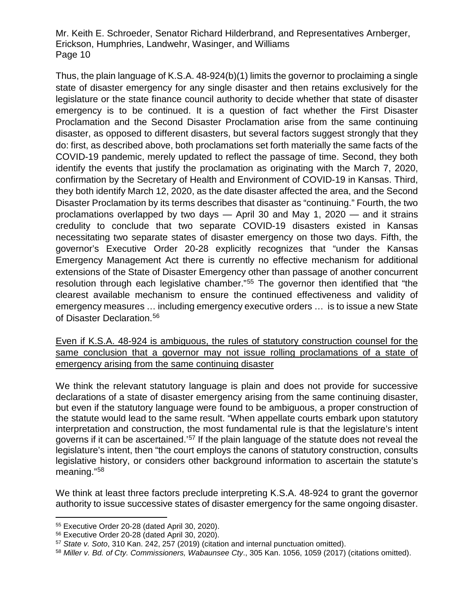Thus, the plain language of K.S.A. 48-924(b)(1) limits the governor to proclaiming a single state of disaster emergency for any single disaster and then retains exclusively for the legislature or the state finance council authority to decide whether that state of disaster emergency is to be continued. It is a question of fact whether the First Disaster Proclamation and the Second Disaster Proclamation arise from the same continuing disaster, as opposed to different disasters, but several factors suggest strongly that they do: first, as described above, both proclamations set forth materially the same facts of the COVID-19 pandemic, merely updated to reflect the passage of time. Second, they both identify the events that justify the proclamation as originating with the March 7, 2020, confirmation by the Secretary of Health and Environment of COVID-19 in Kansas. Third, they both identify March 12, 2020, as the date disaster affected the area, and the Second Disaster Proclamation by its terms describes that disaster as "continuing." Fourth, the two proclamations overlapped by two days — April 30 and May 1, 2020 — and it strains credulity to conclude that two separate COVID-19 disasters existed in Kansas necessitating two separate states of disaster emergency on those two days. Fifth, the governor's Executive Order 20-28 explicitly recognizes that "under the Kansas Emergency Management Act there is currently no effective mechanism for additional extensions of the State of Disaster Emergency other than passage of another concurrent resolution through each legislative chamber."<sup>[55](#page-9-0)</sup> The governor then identified that "the clearest available mechanism to ensure the continued effectiveness and validity of emergency measures … including emergency executive orders … is to issue a new State of Disaster Declaration.<sup>[56](#page-9-1)</sup>

Even if K.S.A. 48-924 is ambiguous, the rules of statutory construction counsel for the same conclusion that a governor may not issue rolling proclamations of a state of emergency arising from the same continuing disaster

We think the relevant statutory language is plain and does not provide for successive declarations of a state of disaster emergency arising from the same continuing disaster, but even if the statutory language were found to be ambiguous, a proper construction of the statute would lead to the same result. "When appellate courts embark upon statutory interpretation and construction, the most fundamental rule is that the legislature's intent governs if it can be ascertained.'<sup>[57](#page-9-2)</sup> If the plain language of the statute does not reveal the legislature's intent, then "the court employs the canons of statutory construction, consults legislative history, or considers other background information to ascertain the statute's meaning."[58](#page-9-3)

We think at least three factors preclude interpreting K.S.A. 48-924 to grant the governor authority to issue successive states of disaster emergency for the same ongoing disaster.

<span id="page-9-0"></span> <sup>55</sup> Executive Order 20-28 (dated April 30, 2020).

<span id="page-9-1"></span><sup>56</sup> Executive Order 20-28 (dated April 30, 2020).

<span id="page-9-2"></span><sup>57</sup> *State v. Soto*, 310 Kan. 242, 257 (2019) (citation and internal punctuation omitted).

<span id="page-9-3"></span><sup>58</sup> *Miller v. Bd. of Cty. Commissioners, Wabaunsee Cty*., 305 Kan. 1056, 1059 (2017) (citations omitted).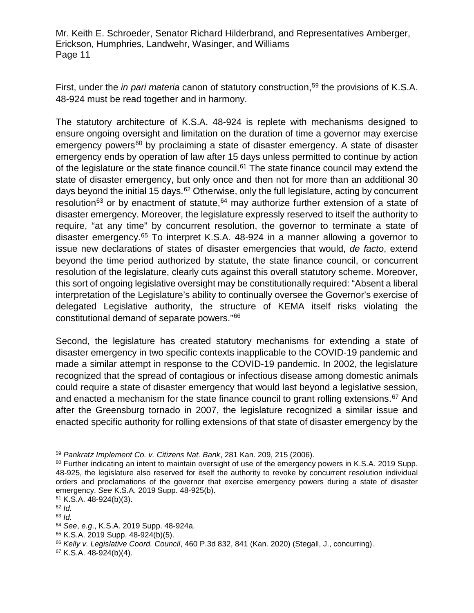First, under the *in pari materia* canon of statutory construction,<sup>[59](#page-10-0)</sup> the provisions of K.S.A. 48-924 must be read together and in harmony.

The statutory architecture of K.S.A. 48-924 is replete with mechanisms designed to ensure ongoing oversight and limitation on the duration of time a governor may exercise emergency powers<sup>[60](#page-10-1)</sup> by proclaiming a state of disaster emergency. A state of disaster emergency ends by operation of law after 15 days unless permitted to continue by action of the legislature or the state finance council.<sup>[61](#page-10-2)</sup> The state finance council may extend the state of disaster emergency, but only once and then not for more than an additional 30 days beyond the initial 15 days.<sup>[62](#page-10-3)</sup> Otherwise, only the full legislature, acting by concurrent resolution<sup>[63](#page-10-4)</sup> or by enactment of statute,  $64$  may authorize further extension of a state of disaster emergency. Moreover, the legislature expressly reserved to itself the authority to require, "at any time" by concurrent resolution, the governor to terminate a state of disaster emergency.[65](#page-10-6) To interpret K.S.A. 48-924 in a manner allowing a governor to issue new declarations of states of disaster emergencies that would, *de facto*, extend beyond the time period authorized by statute, the state finance council, or concurrent resolution of the legislature, clearly cuts against this overall statutory scheme. Moreover, this sort of ongoing legislative oversight may be constitutionally required: "Absent a liberal interpretation of the Legislature's ability to continually oversee the Governor's exercise of delegated Legislative authority, the structure of KEMA itself risks violating the constitutional demand of separate powers."[66](#page-10-7)

Second, the legislature has created statutory mechanisms for extending a state of disaster emergency in two specific contexts inapplicable to the COVID-19 pandemic and made a similar attempt in response to the COVID-19 pandemic. In 2002, the legislature recognized that the spread of contagious or infectious disease among domestic animals could require a state of disaster emergency that would last beyond a legislative session, and enacted a mechanism for the state finance council to grant rolling extensions.<sup>[67](#page-10-8)</sup> And after the Greensburg tornado in 2007, the legislature recognized a similar issue and enacted specific authority for rolling extensions of that state of disaster emergency by the

<span id="page-10-0"></span> <sup>59</sup> *Pankratz Implement Co. v. Citizens Nat. Bank*, 281 Kan. 209, 215 (2006).

<span id="page-10-1"></span> $60$  Further indicating an intent to maintain oversight of use of the emergency powers in K.S.A. 2019 Supp. 48-925, the legislature also reserved for itself the authority to revoke by concurrent resolution individual orders and proclamations of the governor that exercise emergency powers during a state of disaster emergency. *See* K.S.A. 2019 Supp. 48-925(b).

<span id="page-10-2"></span><sup>61</sup> K.S.A. 48-924(b)(3).

<span id="page-10-3"></span><sup>62</sup> *Id.*

<span id="page-10-4"></span><sup>63</sup> *Id.*

<span id="page-10-5"></span><sup>64</sup> *See*, *e.g*., K.S.A. 2019 Supp. 48-924a.

<span id="page-10-6"></span><sup>65</sup> K.S.A. 2019 Supp. 48-924(b)(5).

<span id="page-10-7"></span><sup>66</sup> *Kelly v. Legislative Coord. Council*, 460 P.3d 832, 841 (Kan. 2020) (Stegall, J., concurring).

<span id="page-10-8"></span><sup>67</sup> K.S.A. 48-924(b)(4).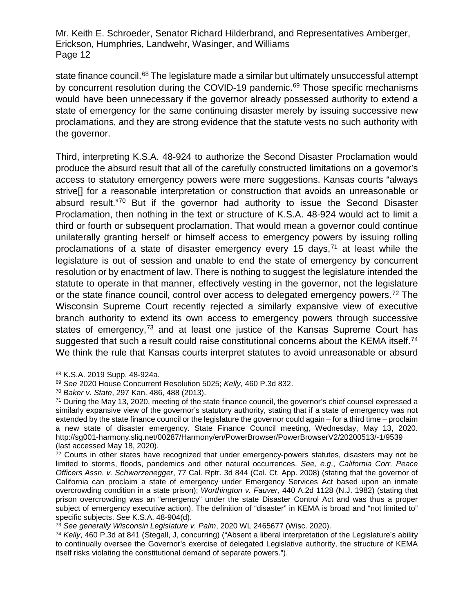state finance council.<sup>[68](#page-11-0)</sup> The legislature made a similar but ultimately unsuccessful attempt by concurrent resolution during the COVID-19 pandemic.<sup>69</sup> Those specific mechanisms would have been unnecessary if the governor already possessed authority to extend a state of emergency for the same continuing disaster merely by issuing successive new proclamations, and they are strong evidence that the statute vests no such authority with the governor.

Third, interpreting K.S.A. 48-924 to authorize the Second Disaster Proclamation would produce the absurd result that all of the carefully constructed limitations on a governor's access to statutory emergency powers were mere suggestions. Kansas courts "always strive[] for a reasonable interpretation or construction that avoids an unreasonable or absurd result.["70](#page-11-2) But if the governor had authority to issue the Second Disaster Proclamation, then nothing in the text or structure of K.S.A. 48-924 would act to limit a third or fourth or subsequent proclamation. That would mean a governor could continue unilaterally granting herself or himself access to emergency powers by issuing rolling proclamations of a state of disaster emergency every 15 days,  $71$  at least while the legislature is out of session and unable to end the state of emergency by concurrent resolution or by enactment of law. There is nothing to suggest the legislature intended the statute to operate in that manner, effectively vesting in the governor, not the legislature or the state finance council, control over access to delegated emergency powers.<sup>[72](#page-11-4)</sup> The Wisconsin Supreme Court recently rejected a similarly expansive view of executive branch authority to extend its own access to emergency powers through successive states of emergency,<sup>[73](#page-11-5)</sup> and at least one justice of the Kansas Supreme Court has suggested that such a result could raise constitutional concerns about the KEMA itself.<sup>[74](#page-11-6)</sup> We think the rule that Kansas courts interpret statutes to avoid unreasonable or absurd

<span id="page-11-0"></span> <sup>68</sup> K.S.A. 2019 Supp. 48-924a.

<span id="page-11-1"></span><sup>69</sup> *See* 2020 House Concurrent Resolution 5025; *Kelly*, 460 P.3d 832.

<span id="page-11-2"></span><sup>70</sup> *Baker v. State*, 297 Kan. 486, 488 (2013).

<span id="page-11-3"></span><sup>71</sup> During the May 13, 2020, meeting of the state finance council, the governor's chief counsel expressed a similarly expansive view of the governor's statutory authority, stating that if a state of emergency was not extended by the state finance council or the legislature the governor could again – for a third time – proclaim a new state of disaster emergency. State Finance Council meeting, Wednesday, May 13, 2020. http://sg001-harmony.sliq.net/00287/Harmony/en/PowerBrowser/PowerBrowserV2/20200513/-1/9539 (last accessed May 18, 2020).

<span id="page-11-4"></span> $72$  Courts in other states have recognized that under emergency-powers statutes, disasters may not be limited to storms, floods, pandemics and other natural occurrences. *See, e.g*., *California Corr. Peace Officers Assn. v. Schwarzenegger*, 77 Cal. Rptr. 3d 844 (Cal. Ct. App. 2008) (stating that the governor of California can proclaim a state of emergency under Emergency Services Act based upon an inmate overcrowding condition in a state prison); *Worthington v. Fauver*, 440 A.2d 1128 (N.J. 1982) (stating that prison overcrowding was an "emergency" under the state Disaster Control Act and was thus a proper subject of emergency executive action). The definition of "disaster" in KEMA is broad and "not limited to" specific subjects. *See* K.S.A. 48-904(d).

<span id="page-11-5"></span><sup>73</sup> *See generally Wisconsin Legislature v. Palm*, 2020 WL 2465677 (Wisc. 2020).

<span id="page-11-6"></span><sup>74</sup> *Kelly*, 460 P.3d at 841 (Stegall, J, concurring) ("Absent a liberal interpretation of the Legislature's ability to continually oversee the Governor's exercise of delegated Legislative authority, the structure of KEMA itself risks violating the constitutional demand of separate powers.").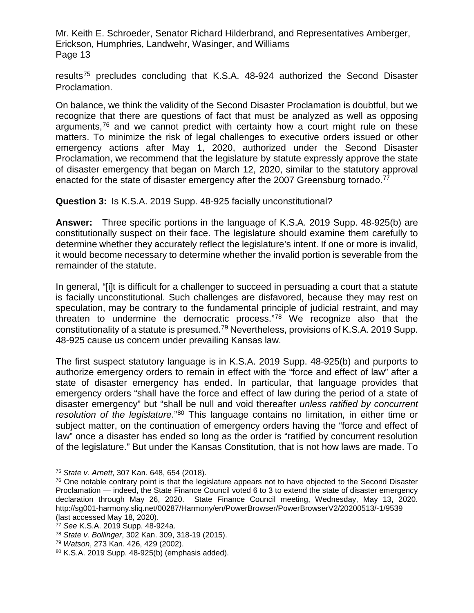results[75](#page-12-0) precludes concluding that K.S.A. 48-924 authorized the Second Disaster Proclamation.

On balance, we think the validity of the Second Disaster Proclamation is doubtful, but we recognize that there are questions of fact that must be analyzed as well as opposing arguments,<sup>[76](#page-12-1)</sup> and we cannot predict with certainty how a court might rule on these matters. To minimize the risk of legal challenges to executive orders issued or other emergency actions after May 1, 2020, authorized under the Second Disaster Proclamation, we recommend that the legislature by statute expressly approve the state of disaster emergency that began on March 12, 2020, similar to the statutory approval enacted for the state of disaster emergency after the 2007 Greensburg tornado.<sup>[77](#page-12-2)</sup>

**Question 3:** Is K.S.A. 2019 Supp. 48-925 facially unconstitutional?

**Answer:** Three specific portions in the language of K.S.A. 2019 Supp. 48-925(b) are constitutionally suspect on their face. The legislature should examine them carefully to determine whether they accurately reflect the legislature's intent. If one or more is invalid, it would become necessary to determine whether the invalid portion is severable from the remainder of the statute.

In general, "[i]t is difficult for a challenger to succeed in persuading a court that a statute is facially unconstitutional. Such challenges are disfavored, because they may rest on speculation, may be contrary to the fundamental principle of judicial restraint, and may threaten to undermine the democratic process."[78](#page-12-3) We recognize also that the constitutionality of a statute is presumed.[79](#page-12-4) Nevertheless, provisions of K.S.A. 2019 Supp. 48-925 cause us concern under prevailing Kansas law.

The first suspect statutory language is in K.S.A. 2019 Supp. 48-925(b) and purports to authorize emergency orders to remain in effect with the "force and effect of law" after a state of disaster emergency has ended. In particular, that language provides that emergency orders "shall have the force and effect of law during the period of a state of disaster emergency" but "shall be null and void thereafter *unless ratified by concurrent resolution of the legislature*."[80](#page-12-5) This language contains no limitation, in either time or subject matter, on the continuation of emergency orders having the "force and effect of law" once a disaster has ended so long as the order is "ratified by concurrent resolution of the legislature." But under the Kansas Constitution, that is not how laws are made. To

<span id="page-12-0"></span> <sup>75</sup> *State v. Arnett*, 307 Kan. 648, 654 (2018).

<span id="page-12-1"></span><sup>&</sup>lt;sup>76</sup> One notable contrary point is that the legislature appears not to have objected to the Second Disaster Proclamation — indeed, the State Finance Council voted 6 to 3 to extend the state of disaster emergency declaration through May 26, 2020. State Finance Council meeting, Wednesday, May 13, 2020. http://sg001-harmony.sliq.net/00287/Harmony/en/PowerBrowser/PowerBrowserV2/20200513/-1/9539 (last accessed May 18, 2020).

<span id="page-12-2"></span><sup>77</sup> *See* K.S.A. 2019 Supp. 48-924a.

<span id="page-12-3"></span><sup>78</sup> *State v. Bollinger*, 302 Kan. 309, 318-19 (2015).

<span id="page-12-4"></span><sup>79</sup> *Watson*, 273 Kan. 426, 429 (2002).

<span id="page-12-5"></span><sup>80</sup> K.S.A. 2019 Supp. 48-925(b) (emphasis added).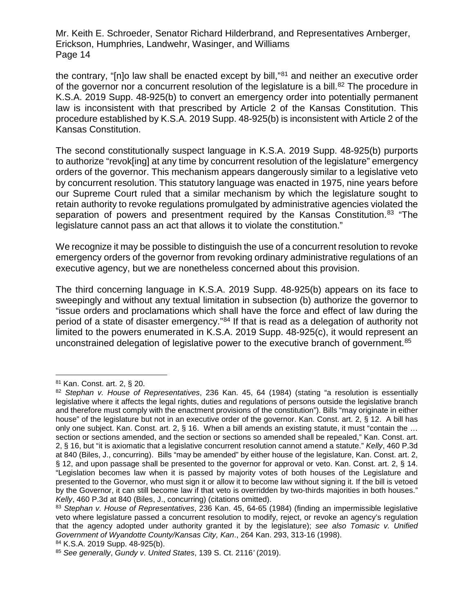the contrary, "[n]o law shall be enacted except by bill,"[81](#page-13-0) and neither an executive order of the governor nor a concurrent resolution of the legislature is a bill.<sup>[82](#page-13-1)</sup> The procedure in K.S.A. 2019 Supp. 48-925(b) to convert an emergency order into potentially permanent law is inconsistent with that prescribed by Article 2 of the Kansas Constitution. This procedure established by K.S.A. 2019 Supp. 48-925(b) is inconsistent with Article 2 of the Kansas Constitution.

The second constitutionally suspect language in K.S.A. 2019 Supp. 48-925(b) purports to authorize "revok[ing] at any time by concurrent resolution of the legislature" emergency orders of the governor. This mechanism appears dangerously similar to a legislative veto by concurrent resolution. This statutory language was enacted in 1975, nine years before our Supreme Court ruled that a similar mechanism by which the legislature sought to retain authority to revoke regulations promulgated by administrative agencies violated the separation of powers and presentment required by the Kansas Constitution.<sup>[83](#page-13-2)</sup> "The legislature cannot pass an act that allows it to violate the constitution."

We recognize it may be possible to distinguish the use of a concurrent resolution to revoke emergency orders of the governor from revoking ordinary administrative regulations of an executive agency, but we are nonetheless concerned about this provision.

The third concerning language in K.S.A. 2019 Supp. 48-925(b) appears on its face to sweepingly and without any textual limitation in subsection (b) authorize the governor to "issue orders and proclamations which shall have the force and effect of law during the period of a state of disaster emergency."[84](#page-13-3) If that is read as a delegation of authority not limited to the powers enumerated in K.S.A. 2019 Supp. 48-925(c), it would represent an unconstrained delegation of legislative power to the executive branch of government.<sup>[85](#page-13-4)</sup>

<span id="page-13-0"></span> <sup>81</sup> Kan. Const. art. 2, § 20.

<span id="page-13-1"></span><sup>82</sup> *Stephan v. House of Representatives*, 236 Kan. 45, 64 (1984) (stating "a resolution is essentially legislative where it affects the legal rights, duties and regulations of persons outside the legislative branch and therefore must comply with the enactment provisions of the constitution"). Bills "may originate in either house" of the legislature but not in an executive order of the governor. Kan. Const. art. 2, § 12. A bill has only one subject. Kan. Const. art. 2, § 16. When a bill amends an existing statute, it must "contain the ... section or sections amended, and the section or sections so amended shall be repealed," Kan. Const. art. 2, § 16, but "it is axiomatic that a legislative concurrent resolution cannot amend a statute." *Kelly*, 460 P.3d at 840 (Biles, J., concurring). Bills "may be amended" by either house of the legislature, Kan. Const. art. 2, § 12, and upon passage shall be presented to the governor for approval or veto. Kan. Const. art. 2, § 14. "Legislation becomes law when it is passed by majority votes of both houses of the Legislature and presented to the Governor, who must sign it or allow it to become law without signing it. If the bill is vetoed by the Governor, it can still become law if that veto is overridden by two-thirds majorities in both houses." *Kelly*, 460 P.3d at 840 (Biles, J., concurring) (citations omitted).

<span id="page-13-2"></span><sup>83</sup> *Stephan v. House of Representatives*, 236 Kan. 45, 64-65 (1984) (finding an impermissible legislative veto where legislature passed a concurrent resolution to modify, reject, or revoke an agency's regulation that the agency adopted under authority granted it by the legislature); *see also Tomasic v. Unified Government of Wyandotte County/Kansas City, Kan*., 264 Kan. 293, 313-16 (1998).

<span id="page-13-3"></span><sup>84</sup> K.S.A. 2019 Supp. 48-925(b).

<span id="page-13-4"></span><sup>85</sup> *See generally*, *Gundy v. United States*, 139 S. Ct. 2116*'* (2019).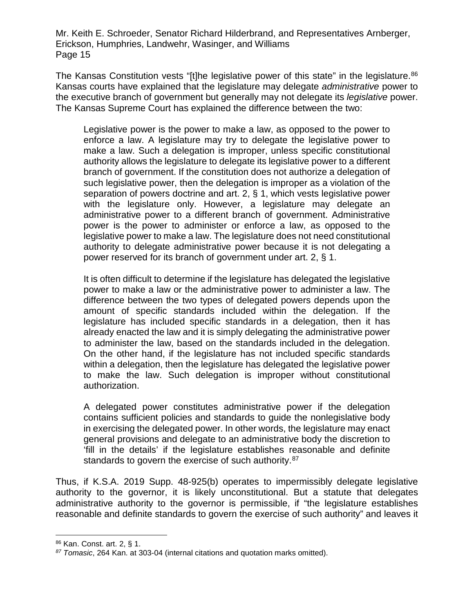The Kansas Constitution vests "[t]he legislative power of this state" in the legislature.<sup>[86](#page-14-0)</sup> Kansas courts have explained that the legislature may delegate *administrative* power to the executive branch of government but generally may not delegate its *legislative* power. The Kansas Supreme Court has explained the difference between the two:

Legislative power is the power to make a law, as opposed to the power to enforce a law. A legislature may try to delegate the legislative power to make a law. Such a delegation is improper, unless specific constitutional authority allows the legislature to delegate its legislative power to a different branch of government. If the constitution does not authorize a delegation of such legislative power, then the delegation is improper as a violation of the separation of powers doctrine and art. 2, § 1, which vests legislative power with the legislature only. However, a legislature may delegate an administrative power to a different branch of government. Administrative power is the power to administer or enforce a law, as opposed to the legislative power to make a law. The legislature does not need constitutional authority to delegate administrative power because it is not delegating a power reserved for its branch of government under art. 2, § 1.

It is often difficult to determine if the legislature has delegated the legislative power to make a law or the administrative power to administer a law. The difference between the two types of delegated powers depends upon the amount of specific standards included within the delegation. If the legislature has included specific standards in a delegation, then it has already enacted the law and it is simply delegating the administrative power to administer the law, based on the standards included in the delegation. On the other hand, if the legislature has not included specific standards within a delegation, then the legislature has delegated the legislative power to make the law. Such delegation is improper without constitutional authorization.

A delegated power constitutes administrative power if the delegation contains sufficient policies and standards to guide the nonlegislative body in exercising the delegated power. In other words, the legislature may enact general provisions and delegate to an administrative body the discretion to 'fill in the details' if the legislature establishes reasonable and definite standards to govern the exercise of such authority.<sup>[87](#page-14-1)</sup>

Thus, if K.S.A. 2019 Supp. 48-925(b) operates to impermissibly delegate legislative authority to the governor, it is likely unconstitutional. But a statute that delegates administrative authority to the governor is permissible, if "the legislature establishes reasonable and definite standards to govern the exercise of such authority" and leaves it

<span id="page-14-0"></span> <sup>86</sup> Kan. Const. art. 2, § 1.

<span id="page-14-1"></span>*<sup>87</sup> Tomasic*, 264 Kan. at 303-04 (internal citations and quotation marks omitted).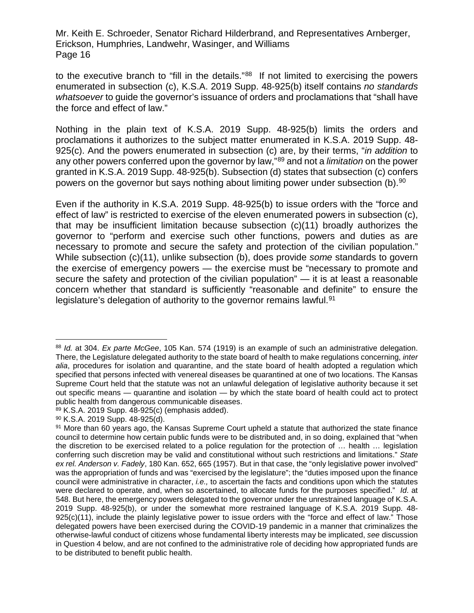to the executive branch to "fill in the details."<sup>88</sup> If not limited to exercising the powers enumerated in subsection (c), K.S.A. 2019 Supp. 48-925(b) itself contains *no standards whatsoever* to guide the governor's issuance of orders and proclamations that "shall have the force and effect of law."

Nothing in the plain text of K.S.A. 2019 Supp. 48-925(b) limits the orders and proclamations it authorizes to the subject matter enumerated in K.S.A. 2019 Supp. 48- 925(c). And the powers enumerated in subsection (c) are, by their terms, "*in addition* to any other powers conferred upon the governor by law,"[89](#page-15-1) and not a *limitation* on the power granted in K.S.A. 2019 Supp. 48-925(b). Subsection (d) states that subsection (c) confers powers on the governor but says nothing about limiting power under subsection (b).<sup>[90](#page-15-2)</sup>

Even if the authority in K.S.A. 2019 Supp. 48-925(b) to issue orders with the "force and effect of law" is restricted to exercise of the eleven enumerated powers in subsection (c), that may be insufficient limitation because subsection (c)(11) broadly authorizes the governor to "perform and exercise such other functions, powers and duties as are necessary to promote and secure the safety and protection of the civilian population." While subsection (c)(11), unlike subsection (b), does provide *some* standards to govern the exercise of emergency powers — the exercise must be "necessary to promote and secure the safety and protection of the civilian population" — it is at least a reasonable concern whether that standard is sufficiently "reasonable and definite" to ensure the legislature's delegation of authority to the governor remains lawful.<sup>[91](#page-15-3)</sup>

<span id="page-15-0"></span> <sup>88</sup> *Id.* at 304. *Ex parte McGee*, 105 Kan. 574 (1919) is an example of such an administrative delegation. There, the Legislature delegated authority to the state board of health to make regulations concerning, *inter alia*, procedures for isolation and quarantine, and the state board of health adopted a regulation which specified that persons infected with venereal diseases be quarantined at one of two locations. The Kansas Supreme Court held that the statute was not an unlawful delegation of legislative authority because it set out specific means — quarantine and isolation — by which the state board of health could act to protect public health from dangerous communicable diseases.

<span id="page-15-1"></span><sup>89</sup> K.S.A. 2019 Supp. 48-925(c) (emphasis added).

<span id="page-15-2"></span><sup>90</sup> K.S.A. 2019 Supp. 48-925(d).

<span id="page-15-3"></span><sup>91</sup> More than 60 years ago, the Kansas Supreme Court upheld a statute that authorized the state finance council to determine how certain public funds were to be distributed and, in so doing, explained that "when the discretion to be exercised related to a police regulation for the protection of … health … legislation conferring such discretion may be valid and constitutional without such restrictions and limitations." *State ex rel. Anderson v. Fadely*, 180 Kan. 652, 665 (1957). But in that case, the "only legislative power involved" was the appropriation of funds and was "exercised by the legislature"; the "duties imposed upon the finance council were administrative in character, *i.e.,* to ascertain the facts and conditions upon which the statutes were declared to operate, and, when so ascertained, to allocate funds for the purposes specified." *Id*. at 548. But here, the emergency powers delegated to the governor under the unrestrained language of K.S.A. 2019 Supp. 48-925(b), or under the somewhat more restrained language of K.S.A. 2019 Supp. 48- 925(c)(11), include the plainly legislative power to issue orders with the "force and effect of law." Those delegated powers have been exercised during the COVID-19 pandemic in a manner that criminalizes the otherwise-lawful conduct of citizens whose fundamental liberty interests may be implicated, *see* discussion in Question 4 below, and are not confined to the administrative role of deciding how appropriated funds are to be distributed to benefit public health.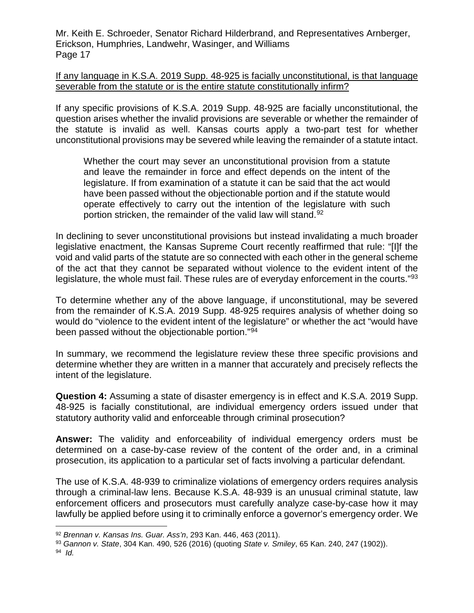## If any language in K.S.A. 2019 Supp. 48-925 is facially unconstitutional, is that language severable from the statute or is the entire statute constitutionally infirm?

If any specific provisions of K.S.A. 2019 Supp. 48-925 are facially unconstitutional, the question arises whether the invalid provisions are severable or whether the remainder of the statute is invalid as well. Kansas courts apply a two-part test for whether unconstitutional provisions may be severed while leaving the remainder of a statute intact.

Whether the court may sever an unconstitutional provision from a statute and leave the remainder in force and effect depends on the intent of the legislature. If from examination of a statute it can be said that the act would have been passed without the objectionable portion and if the statute would operate effectively to carry out the intention of the legislature with such portion stricken, the remainder of the valid law will stand.<sup>[92](#page-16-0)</sup>

In declining to sever unconstitutional provisions but instead invalidating a much broader legislative enactment, the Kansas Supreme Court recently reaffirmed that rule: "[I]f the void and valid parts of the statute are so connected with each other in the general scheme of the act that they cannot be separated without violence to the evident intent of the legislature, the whole must fail. These rules are of everyday enforcement in the courts."<sup>[93](#page-16-1)</sup>

To determine whether any of the above language, if unconstitutional, may be severed from the remainder of K.S.A. 2019 Supp. 48-925 requires analysis of whether doing so would do "violence to the evident intent of the legislature" or whether the act "would have been passed without the objectionable portion."[94](#page-16-2)

In summary, we recommend the legislature review these three specific provisions and determine whether they are written in a manner that accurately and precisely reflects the intent of the legislature.

**Question 4:** Assuming a state of disaster emergency is in effect and K.S.A. 2019 Supp. 48-925 is facially constitutional, are individual emergency orders issued under that statutory authority valid and enforceable through criminal prosecution?

**Answer:** The validity and enforceability of individual emergency orders must be determined on a case-by-case review of the content of the order and, in a criminal prosecution, its application to a particular set of facts involving a particular defendant.

The use of K.S.A. 48-939 to criminalize violations of emergency orders requires analysis through a criminal-law lens. Because K.S.A. 48-939 is an unusual criminal statute, law enforcement officers and prosecutors must carefully analyze case-by-case how it may lawfully be applied before using it to criminally enforce a governor's emergency order. We

<span id="page-16-0"></span> <sup>92</sup> *Brennan v. Kansas Ins. Guar. Ass'n*, 293 Kan. 446, 463 (2011).

<span id="page-16-1"></span><sup>93</sup> *Gannon v. State*, 304 Kan. 490, 526 (2016) (quoting *State v. Smiley*, 65 Kan. 240, 247 (1902)).

<span id="page-16-2"></span><sup>94</sup> *Id.*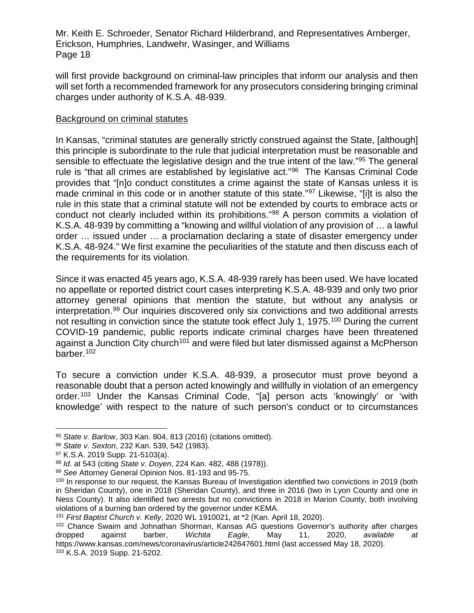will first provide background on criminal-law principles that inform our analysis and then will set forth a recommended framework for any prosecutors considering bringing criminal charges under authority of K.S.A. 48-939.

## Background on criminal statutes

In Kansas, "criminal statutes are generally strictly construed against the State, [although] this principle is subordinate to the rule that judicial interpretation must be reasonable and sensible to effectuate the legislative design and the true intent of the law."[95](#page-17-0) The general rule is "that all crimes are established by legislative act."<sup>96</sup> The Kansas Criminal Code provides that "[n]o conduct constitutes a crime against the state of Kansas unless it is made criminal in this code or in another statute of this state."<sup>[97](#page-17-2)</sup> Likewise, "[i]t is also the rule in this state that a criminal statute will not be extended by courts to embrace acts or conduct not clearly included within its prohibitions.["98](#page-17-3) A person commits a violation of K.S.A. 48-939 by committing a "knowing and willful violation of any provision of … a lawful order … issued under … a proclamation declaring a state of disaster emergency under K.S.A. 48-924." We first examine the peculiarities of the statute and then discuss each of the requirements for its violation.

Since it was enacted 45 years ago, K.S.A. 48-939 rarely has been used. We have located no appellate or reported district court cases interpreting K.S.A. 48-939 and only two prior attorney general opinions that mention the statute, but without any analysis or interpretation.[99](#page-17-4) Our inquiries discovered only six convictions and two additional arrests not resulting in conviction since the statute took effect July 1, 1975.<sup>100</sup> During the current COVID-19 pandemic, public reports indicate criminal charges have been threatened against a Junction City church<sup>[101](#page-17-6)</sup> and were filed but later dismissed against a McPherson barber.[102](#page-17-7)

To secure a conviction under K.S.A. 48-939, a prosecutor must prove beyond a reasonable doubt that a person acted knowingly and willfully in violation of an emergency order.[103](#page-17-8) Under the Kansas Criminal Code, "[a] person acts 'knowingly' or 'with knowledge' with respect to the nature of such person's conduct or to circumstances

<span id="page-17-0"></span> <sup>95</sup> *State v. Barlow*, 303 Kan. 804, 813 (2016) (citations omitted).

<span id="page-17-1"></span><sup>96</sup> *State v. Sexton*, 232 Kan. 539, 542 (1983).

<span id="page-17-2"></span><sup>97</sup> K.S.A. 2019 Supp. 21-5103(a).

<span id="page-17-3"></span><sup>98</sup> *Id*. at 543 (citing *State v. Doyen*, 224 Kan. 482, 488 (1978)).

<span id="page-17-4"></span><sup>99</sup> *See* Attorney General Opinion Nos. 81-193 and 95-75.

<span id="page-17-5"></span><sup>100</sup> In response to our request, the Kansas Bureau of Investigation identified two convictions in 2019 (both in Sheridan County), one in 2018 (Sheridan County), and three in 2016 (two in Lyon County and one in Ness County). It also identified two arrests but no convictions in 2018 in Marion County, both involving violations of a burning ban ordered by the governor under KEMA.

<span id="page-17-6"></span><sup>101</sup> *First Baptist Church v. Kelly*, 2020 WL 1910021, at \*2 (Kan. April 18, 2020).

<span id="page-17-8"></span><span id="page-17-7"></span><sup>&</sup>lt;sup>102</sup> Chance Swaim and Johnathan Shorman, Kansas AG questions Governor's authority after charges dropped against barber, *Wichita Eagle*, May 11, 2020, *available at* https://www.kansas.com/news/coronavirus/article242647601.html (last accessed May 18, 2020). <sup>103</sup> K.S.A. 2019 Supp. 21-5202.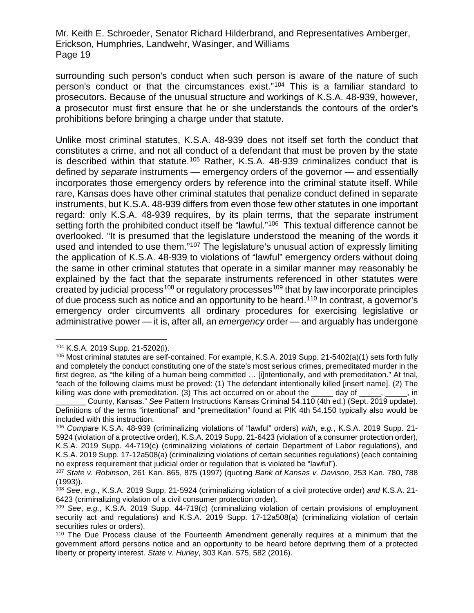surrounding such person's conduct when such person is aware of the nature of such person's conduct or that the circumstances exist."[104](#page-18-0) This is a familiar standard to prosecutors. Because of the unusual structure and workings of K.S.A. 48-939, however, a prosecutor must first ensure that he or she understands the contours of the order's prohibitions before bringing a charge under that statute.

Unlike most criminal statutes, K.S.A. 48-939 does not itself set forth the conduct that constitutes a crime, and not all conduct of a defendant that must be proven by the state is described within that statute.<sup>[105](#page-18-1)</sup> Rather, K.S.A. 48-939 criminalizes conduct that is defined by *separate* instruments — emergency orders of the governor — and essentially incorporates those emergency orders by reference into the criminal statute itself. While rare, Kansas does have other criminal statutes that penalize conduct defined in separate instruments, but K.S.A. 48-939 differs from even those few other statutes in one important regard: only K.S.A. 48-939 requires, by its plain terms, that the separate instrument setting forth the prohibited conduct itself be "lawful."<sup>[106](#page-18-2)</sup> This textual difference cannot be overlooked. "It is presumed that the legislature understood the meaning of the words it used and intended to use them."[107](#page-18-3) The legislature's unusual action of expressly limiting the application of K.S.A. 48-939 to violations of "lawful" emergency orders without doing the same in other criminal statutes that operate in a similar manner may reasonably be explained by the fact that the separate instruments referenced in other statutes were created by judicial process<sup>[108](#page-18-4)</sup> or regulatory processes<sup>[109](#page-18-5)</sup> that by law incorporate principles of due process such as notice and an opportunity to be heard.<sup>[110](#page-18-6)</sup> In contrast, a governor's emergency order circumvents all ordinary procedures for exercising legislative or administrative power — it is, after all, an *emergency* order — and arguably has undergone

<span id="page-18-0"></span> <sup>104</sup> K.S.A. 2019 Supp. 21-5202(i).

<span id="page-18-1"></span><sup>105</sup> Most criminal statutes are self-contained. For example, K.S.A. 2019 Supp. 21-5402(a)(1) sets forth fully and completely the conduct constituting one of the state's most serious crimes, premeditated murder in the first degree, as "the killing of a human being committed … [i]ntentionally, and with premeditation." At trial, "each of the following claims must be proved: (1) The defendant intentionally killed [insert name]. (2) The killing was done with premeditation. (3) This act occurred on or about the  $\qquad \qquad$  day of  $\qquad \qquad$ , in

\_\_\_\_\_\_\_ County, Kansas." *See* Pattern Instructions Kansas Criminal 54.110 (4th ed.) (Sept. 2019 update). Definitions of the terms "intentional" and "premeditation" found at PIK 4th 54.150 typically also would be included with this instruction.

<span id="page-18-2"></span><sup>106</sup> *Compare* K.S.A. 48-939 (criminalizing violations of "lawful" orders) *with*, *e.g.*, K.S.A. 2019 Supp. 21- 5924 (violation of a protective order), K.S.A. 2019 Supp. 21-6423 (violation of a consumer protection order), K.S.A. 2019 Supp. 44-719(c) (criminalizing violations of certain Department of Labor regulations), and K.S.A. 2019 Supp. 17-12a508(a) (criminalizing violations of certain securities regulations) (each containing no express requirement that judicial order or regulation that is violated be "lawful").

<span id="page-18-3"></span><sup>107</sup> *State v. Robinson*, 261 Kan. 865, 875 (1997) (quoting *Bank of Kansas v. Davison*, 253 Kan. 780, 788 (1993)).

<span id="page-18-4"></span><sup>108</sup> *See*, *e.g.*, K.S.A. 2019 Supp. 21-5924 (criminalizing violation of a civil protective order) *and* K.S.A. 21- 6423 (criminalizing violation of a civil consumer protection order).

<span id="page-18-5"></span><sup>109</sup> *See*, *e.g.*, K.S.A. 2019 Supp. 44-719(c) (criminalizing violation of certain provisions of employment security act and regulations) and K.S.A. 2019 Supp. 17-12a508(a) (criminalizing violation of certain securities rules or orders).

<span id="page-18-6"></span><sup>110</sup> The Due Process clause of the Fourteenth Amendment generally requires at a minimum that the government afford persons notice and an opportunity to be heard before depriving them of a protected liberty or property interest. *State v. Hurley*, 303 Kan. 575, 582 (2016).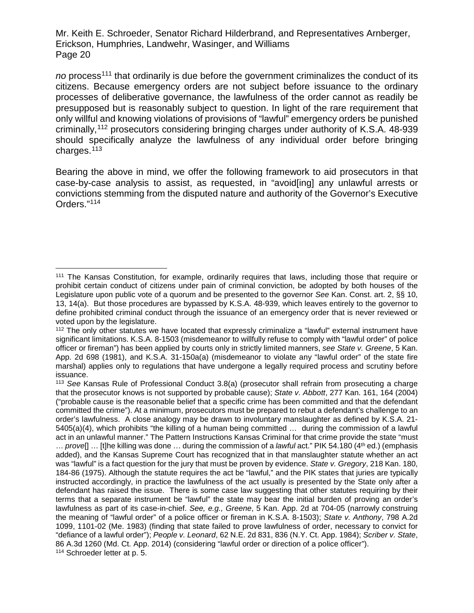no process<sup>[111](#page-19-0)</sup> that ordinarily is due before the government criminalizes the conduct of its citizens. Because emergency orders are not subject before issuance to the ordinary processes of deliberative governance, the lawfulness of the order cannot as readily be presupposed but is reasonably subject to question. In light of the rare requirement that only willful and knowing violations of provisions of "lawful" emergency orders be punished criminally,[112](#page-19-1) prosecutors considering bringing charges under authority of K.S.A. 48-939 should specifically analyze the lawfulness of any individual order before bringing charges.[113](#page-19-2)

Bearing the above in mind, we offer the following framework to aid prosecutors in that case-by-case analysis to assist, as requested, in "avoid[ing] any unlawful arrests or convictions stemming from the disputed nature and authority of the Governor's Executive Orders."[114](#page-19-3)

<span id="page-19-0"></span> <sup>111</sup> The Kansas Constitution, for example, ordinarily requires that laws, including those that require or prohibit certain conduct of citizens under pain of criminal conviction, be adopted by both houses of the Legislature upon public vote of a quorum and be presented to the governor *See* Kan. Const. art. 2, §§ 10, 13, 14(a). But those procedures are bypassed by K.S.A. 48-939, which leaves entirely to the governor to define prohibited criminal conduct through the issuance of an emergency order that is never reviewed or voted upon by the legislature.

<span id="page-19-1"></span><sup>&</sup>lt;sup>112</sup> The only other statutes we have located that expressly criminalize a "lawful" external instrument have significant limitations. K.S.A. 8-1503 (misdemeanor to willfully refuse to comply with "lawful order" of police officer or fireman") has been applied by courts only in strictly limited manners, *see State v. Greene*, 5 Kan. App. 2d 698 (1981), and K.S.A. 31-150a(a) (misdemeanor to violate any "lawful order" of the state fire marshal) applies only to regulations that have undergone a legally required process and scrutiny before issuance.

<span id="page-19-3"></span><span id="page-19-2"></span><sup>113</sup> *See* Kansas Rule of Professional Conduct 3.8(a) (prosecutor shall refrain from prosecuting a charge that the prosecutor knows is not supported by probable cause); *State v. Abbott*, 277 Kan. 161, 164 (2004) ("probable cause is the reasonable belief that a specific crime has been committed and that the defendant committed the crime"). At a minimum, prosecutors must be prepared to rebut a defendant's challenge to an order's lawfulness. A close analogy may be drawn to involuntary manslaughter as defined by K.S.A. 21- 5405(a)(4), which prohibits "the killing of a human being committed … during the commission of a lawful act in an unlawful manner." The Pattern Instructions Kansas Criminal for that crime provide the state "must ... *prove*[] ... [t]he killing was done ... during the commission of a *lawful* act." PIK 54.180 (4<sup>th</sup> ed.) (emphasis added), and the Kansas Supreme Court has recognized that in that manslaughter statute whether an act was "lawful" is a fact question for the jury that must be proven by evidence. *State v. Gregory*, 218 Kan. 180, 184-86 (1975). Although the statute requires the act be "lawful," and the PIK states that juries are typically instructed accordingly, in practice the lawfulness of the act usually is presented by the State only after a defendant has raised the issue. There is some case law suggesting that other statutes requiring by their terms that a separate instrument be "lawful" the state may bear the initial burden of proving an order's lawfulness as part of its case-in-chief. *See, e.g., Greene*, 5 Kan. App. 2d at 704-05 (narrowly construing the meaning of "lawful order" of a police officer or fireman in K.S.A. 8-1503); *State v. Anthony*, 798 A.2d 1099, 1101-02 (Me. 1983) (finding that state failed to prove lawfulness of order, necessary to convict for "defiance of a lawful order"); *People v. Leonard*, 62 N.E. 2d 831, 836 (N.Y. Ct. App. 1984); *Scriber v. State*, 86 A.3d 1260 (Md. Ct. App. 2014) (considering "lawful order or direction of a police officer"). <sup>114</sup> Schroeder letter at p. 5.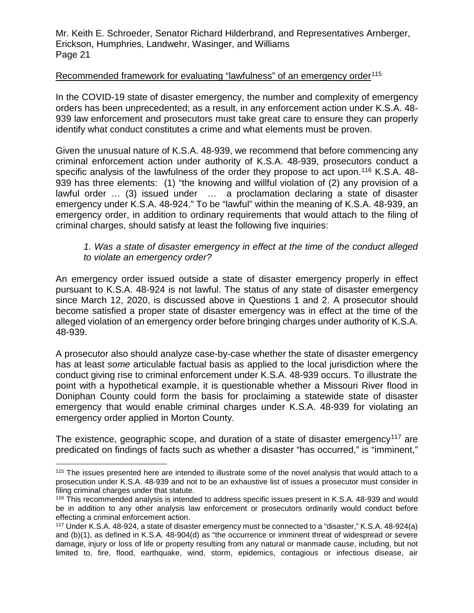#### Recommended framework for evaluating "lawfulness" of an emergency order<sup>[115](#page-20-0)</sup>

In the COVID-19 state of disaster emergency, the number and complexity of emergency orders has been unprecedented; as a result, in any enforcement action under K.S.A. 48- 939 law enforcement and prosecutors must take great care to ensure they can properly identify what conduct constitutes a crime and what elements must be proven.

Given the unusual nature of K.S.A. 48-939, we recommend that before commencing any criminal enforcement action under authority of K.S.A. 48-939, prosecutors conduct a specific analysis of the lawfulness of the order they propose to act upon.<sup>[116](#page-20-1)</sup> K.S.A. 48-939 has three elements: (1) "the knowing and willful violation of (2) any provision of a lawful order … (3) issued under … a proclamation declaring a state of disaster emergency under K.S.A. 48-924." To be "lawful" within the meaning of K.S.A. 48-939, an emergency order, in addition to ordinary requirements that would attach to the filing of criminal charges, should satisfy at least the following five inquiries:

*1. Was a state of disaster emergency in effect at the time of the conduct alleged to violate an emergency order?*

An emergency order issued outside a state of disaster emergency properly in effect pursuant to K.S.A. 48-924 is not lawful. The status of any state of disaster emergency since March 12, 2020, is discussed above in Questions 1 and 2. A prosecutor should become satisfied a proper state of disaster emergency was in effect at the time of the alleged violation of an emergency order before bringing charges under authority of K.S.A. 48-939.

A prosecutor also should analyze case-by-case whether the state of disaster emergency has at least *some* articulable factual basis as applied to the local jurisdiction where the conduct giving rise to criminal enforcement under K.S.A. 48-939 occurs. To illustrate the point with a hypothetical example, it is questionable whether a Missouri River flood in Doniphan County could form the basis for proclaiming a statewide state of disaster emergency that would enable criminal charges under K.S.A. 48-939 for violating an emergency order applied in Morton County.

The existence, geographic scope, and duration of a state of disaster emergency<sup>[117](#page-20-2)</sup> are predicated on findings of facts such as whether a disaster "has occurred," is "imminent,"

<span id="page-20-0"></span><sup>&</sup>lt;sup>115</sup> The issues presented here are intended to illustrate some of the novel analysis that would attach to a prosecution under K.S.A. 48-939 and not to be an exhaustive list of issues a prosecutor must consider in filing criminal charges under that statute.

<span id="page-20-1"></span><sup>116</sup> This recommended analysis is intended to address specific issues present in K.S.A. 48-939 and would be in addition to any other analysis law enforcement or prosecutors ordinarily would conduct before effecting a criminal enforcement action.

<span id="page-20-2"></span><sup>117</sup> Under K.S.A. 48-924, a state of disaster emergency must be connected to a "disaster," K.S.A. 48-924(a) and (b)(1), as defined in K.S.A. 48-904(d) as "the occurrence or imminent threat of widespread or severe damage, injury or loss of life or property resulting from any natural or manmade cause, including, but not limited to, fire, flood, earthquake, wind, storm, epidemics, contagious or infectious disease, air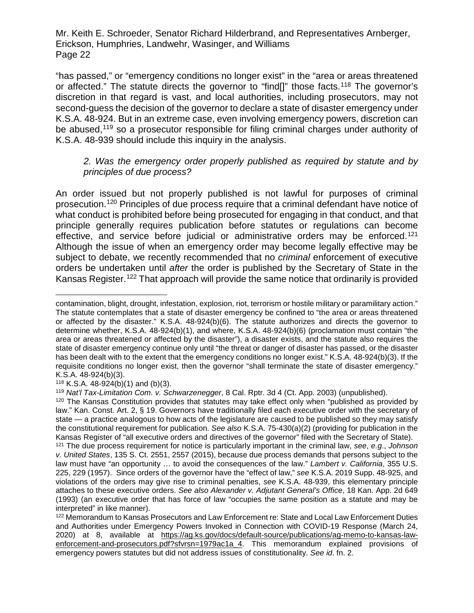"has passed," or "emergency conditions no longer exist" in the "area or areas threatened or affected." The statute directs the governor to "find[]" those facts.<sup>[118](#page-21-0)</sup> The governor's discretion in that regard is vast, and local authorities, including prosecutors, may not second-guess the decision of the governor to declare a state of disaster emergency under K.S.A. 48-924. But in an extreme case, even involving emergency powers, discretion can be abused,<sup>[119](#page-21-1)</sup> so a prosecutor responsible for filing criminal charges under authority of K.S.A. 48-939 should include this inquiry in the analysis.

## *2. Was the emergency order properly published as required by statute and by principles of due process?*

An order issued but not properly published is not lawful for purposes of criminal prosecution.[120](#page-21-2) Principles of due process require that a criminal defendant have notice of what conduct is prohibited before being prosecuted for engaging in that conduct, and that principle generally requires publication before statutes or regulations can become effective, and service before judicial or administrative orders may be enforced.<sup>[121](#page-21-3)</sup> Although the issue of when an emergency order may become legally effective may be subject to debate, we recently recommended that no *criminal* enforcement of executive orders be undertaken until *after* the order is published by the Secretary of State in the Kansas Register.<sup>[122](#page-21-4)</sup> That approach will provide the same notice that ordinarily is provided

 $\overline{a}$ contamination, blight, drought, infestation, explosion, riot, terrorism or hostile military or paramilitary action." The statute contemplates that a state of disaster emergency be confined to "the area or areas threatened or affected by the disaster." K.S.A. 48-924(b)(6). The statute authorizes and directs the governor to determine whether, K.S.A. 48-924(b)(1), and where, K.S.A. 48-924(b)(6) (proclamation must contain "the area or areas threatened or affected by the disaster"), a disaster exists, and the statute also requires the state of disaster emergency continue only until "the threat or danger of disaster has passed, or the disaster has been dealt with to the extent that the emergency conditions no longer exist." K.S.A. 48-924(b)(3). If the requisite conditions no longer exist, then the governor "shall terminate the state of disaster emergency." K.S.A. 48-924(b)(3).

<span id="page-21-0"></span><sup>118</sup> K.S.A.  $48-924(b)(1)$  and  $(b)(3)$ .

<span id="page-21-1"></span><sup>119</sup> *Nat'l Tax-Limitation Com. v. Schwarzenegger*, 8 Cal. Rptr. 3d 4 (Ct. App. 2003) (unpublished).

<span id="page-21-2"></span><sup>&</sup>lt;sup>120</sup> The Kansas Constitution provides that statutes may take effect only when "published as provided by law." Kan. Const. Art. 2, § 19. Governors have traditionally filed each executive order with the secretary of state — a practice analogous to how acts of the legislature are caused to be published so they may satisfy the constitutional requirement for publication. *See also* K.S.A. 75-430(a)(2) (providing for publication in the Kansas Register of "all executive orders and directives of the governor" filed with the Secretary of State).

<span id="page-21-3"></span><sup>121</sup> The due process requirement for notice is particularly important in the criminal law, *see*, *e.g*., *Johnson v. United States*, 135 S. Ct. 2551, 2557 (2015), because due process demands that persons subject to the law must have "an opportunity … to avoid the consequences of the law." *Lambert v. California*, 355 U.S. 225, 229 (1957). Since orders of the governor have the "effect of law," *see* K.S.A. 2019 Supp. 48-925, and violations of the orders may give rise to criminal penalties, *see* K.S.A. 48-939, this elementary principle attaches to these executive orders. *See also Alexander v. Adjutant General's Office*, 18 Kan. App. 2d 649 (1993) (an executive order that has force of law "occupies the same position as a statute and may be interpreted" in like manner).

<span id="page-21-4"></span><sup>122</sup> Memorandum to Kansas Prosecutors and Law Enforcement re: State and Local Law Enforcement Duties and Authorities under Emergency Powers Invoked in Connection with COVID-19 Response (March 24, 2020) at 8, available at [https://ag.ks.gov/docs/default-source/publications/ag-memo-to-kansas-law](https://ag.ks.gov/docs/default-source/publications/ag-memo-to-kansas-law-enforcement-and-prosecutors.pdf?sfvrsn=1979ac1a_4)[enforcement-and-prosecutors.pdf?sfvrsn=1979ac1a\\_4.](https://ag.ks.gov/docs/default-source/publications/ag-memo-to-kansas-law-enforcement-and-prosecutors.pdf?sfvrsn=1979ac1a_4) This memorandum explained provisions of emergency powers statutes but did not address issues of constitutionality. *See id*. fn. 2.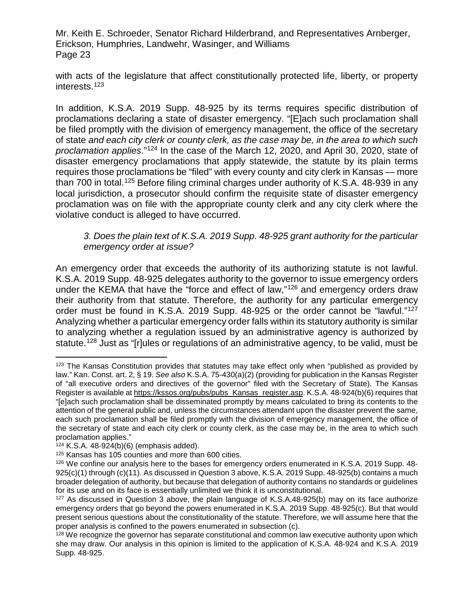with acts of the legislature that affect constitutionally protected life, liberty, or property interests.[123](#page-22-0)

In addition, K.S.A. 2019 Supp. 48-925 by its terms requires specific distribution of proclamations declaring a state of disaster emergency. "[E]ach such proclamation shall be filed promptly with the division of emergency management, the office of the secretary of state *and each city clerk or county clerk, as the case may be, in the area to which such proclamation applies*."[124](#page-22-1) In the case of the March 12, 2020, and April 30, 2020, state of disaster emergency proclamations that apply statewide, the statute by its plain terms requires those proclamations be "filed" with every county and city clerk in Kansas — more than 700 in total.<sup>[125](#page-22-2)</sup> Before filing criminal charges under authority of K.S.A. 48-939 in any local jurisdiction, a prosecutor should confirm the requisite state of disaster emergency proclamation was on file with the appropriate county clerk and any city clerk where the violative conduct is alleged to have occurred.

### *3. Does the plain text of K.S.A. 2019 Supp. 48-925 grant authority for the particular emergency order at issue?*

An emergency order that exceeds the authority of its authorizing statute is not lawful. K.S.A. 2019 Supp. 48-925 delegates authority to the governor to issue emergency orders under the KEMA that have the "force and effect of law,"[126](#page-22-3) and emergency orders draw their authority from that statute. Therefore, the authority for any particular emergency order must be found in K.S.A. 2019 Supp. 48-925 or the order cannot be "lawful."[127](#page-22-4) Analyzing whether a particular emergency order falls within its statutory authority is similar to analyzing whether a regulation issued by an administrative agency is authorized by statute.<sup>[128](#page-22-5)</sup> Just as "[r]ules or regulations of an administrative agency, to be valid, must be

<span id="page-22-0"></span><sup>&</sup>lt;sup>123</sup> The Kansas Constitution provides that statutes may take effect only when "published as provided by law." Kan. Const. art. 2, § 19. *See also* K.S.A. 75-430(a)(2) (providing for publication in the Kansas Register of "all executive orders and directives of the governor" filed with the Secretary of State). The Kansas Register is available at [https://kssos.org/pubs/pubs\\_Kansas\\_register.asp.](https://kssos.org/pubs/pubs_Kansas_register.asp) K.S.A. 48-924(b)(6) requires that "[e]ach such proclamation shall be disseminated promptly by means calculated to bring its contents to the attention of the general public and, unless the circumstances attendant upon the disaster prevent the same, each such proclamation shall be filed promptly with the division of emergency management, the office of the secretary of state and each city clerk or county clerk, as the case may be, in the area to which such proclamation applies."

<span id="page-22-1"></span><sup>124</sup> K.S.A. 48-924(b)(6) (emphasis added).

<span id="page-22-2"></span><sup>125</sup> Kansas has 105 counties and more than 600 cities.

<span id="page-22-3"></span><sup>126</sup> We confine our analysis here to the bases for emergency orders enumerated in K.S.A. 2019 Supp. 48- 925(c)(1) through (c)(11). As discussed in Question 3 above, K.S.A. 2019 Supp. 48-925(b) contains a much broader delegation of authority, but because that delegation of authority contains no standards or guidelines for its use and on its face is essentially unlimited we think it is unconstitutional.

<span id="page-22-4"></span> $127$  As discussed in Question 3 above, the plain language of K.S.A.48-925(b) may on its face authorize emergency orders that go beyond the powers enumerated in K.S.A. 2019 Supp. 48-925(c). But that would present serious questions about the constitutionality of the statute. Therefore, we will assume here that the proper analysis is confined to the powers enumerated in subsection (c).

<span id="page-22-5"></span> $128$  We recognize the governor has separate constitutional and common law executive authority upon which she may draw. Our analysis in this opinion is limited to the application of K.S.A. 48-924 and K.S.A. 2019 Supp. 48-925.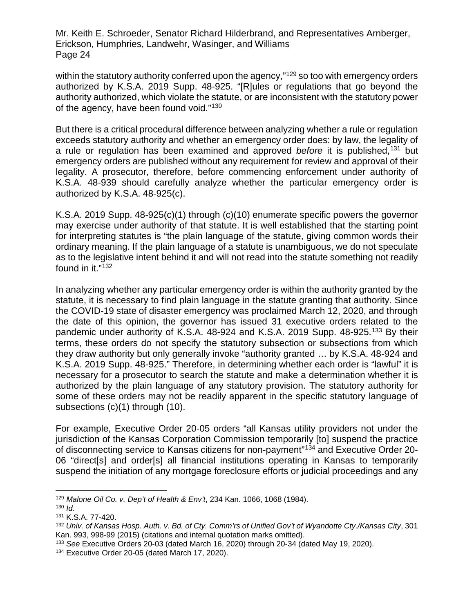within the statutory authority conferred upon the agency,"<sup>[129](#page-23-0)</sup> so too with emergency orders authorized by K.S.A. 2019 Supp. 48-925. "[R]ules or regulations that go beyond the authority authorized, which violate the statute, or are inconsistent with the statutory power of the agency, have been found void."[130](#page-23-1)

But there is a critical procedural difference between analyzing whether a rule or regulation exceeds statutory authority and whether an emergency order does: by law, the legality of a rule or regulation has been examined and approved *before* it is published,[131](#page-23-2) but emergency orders are published without any requirement for review and approval of their legality. A prosecutor, therefore, before commencing enforcement under authority of K.S.A. 48-939 should carefully analyze whether the particular emergency order is authorized by K.S.A. 48-925(c).

K.S.A. 2019 Supp. 48-925(c)(1) through (c)(10) enumerate specific powers the governor may exercise under authority of that statute. It is well established that the starting point for interpreting statutes is "the plain language of the statute, giving common words their ordinary meaning. If the plain language of a statute is unambiguous, we do not speculate as to the legislative intent behind it and will not read into the statute something not readily found in it."[132](#page-23-3)

In analyzing whether any particular emergency order is within the authority granted by the statute, it is necessary to find plain language in the statute granting that authority. Since the COVID-19 state of disaster emergency was proclaimed March 12, 2020, and through the date of this opinion, the governor has issued 31 executive orders related to the pandemic under authority of K.S.A. 48-924 and K.S.A. 2019 Supp. 48-925.<sup>[133](#page-23-4)</sup> By their terms, these orders do not specify the statutory subsection or subsections from which they draw authority but only generally invoke "authority granted … by K.S.A. 48-924 and K.S.A. 2019 Supp. 48-925." Therefore, in determining whether each order is "lawful" it is necessary for a prosecutor to search the statute and make a determination whether it is authorized by the plain language of any statutory provision. The statutory authority for some of these orders may not be readily apparent in the specific statutory language of subsections (c)(1) through (10).

For example, Executive Order 20-05 orders "all Kansas utility providers not under the jurisdiction of the Kansas Corporation Commission temporarily [to] suspend the practice of disconnecting service to Kansas citizens for non-payment"[134](#page-23-5) and Executive Order 20- 06 "direct[s] and order[s] all financial institutions operating in Kansas to temporarily suspend the initiation of any mortgage foreclosure efforts or judicial proceedings and any

<span id="page-23-0"></span> <sup>129</sup> *Malone Oil Co. v. Dep't of Health & Env't*, 234 Kan. 1066, 1068 (1984).

<span id="page-23-1"></span><sup>130</sup> *Id.*

<span id="page-23-2"></span><sup>131</sup> K.S.A. 77-420.

<span id="page-23-3"></span><sup>132</sup> *Univ. of Kansas Hosp. Auth. v. Bd. of Cty. Comm'rs of Unified Gov't of Wyandotte Cty./Kansas City*, 301 Kan. 993, 998-99 (2015) (citations and internal quotation marks omitted).

<span id="page-23-4"></span><sup>133</sup> *See* Executive Orders 20-03 (dated March 16, 2020) through 20-34 (dated May 19, 2020).

<span id="page-23-5"></span><sup>134</sup> Executive Order 20-05 (dated March 17, 2020).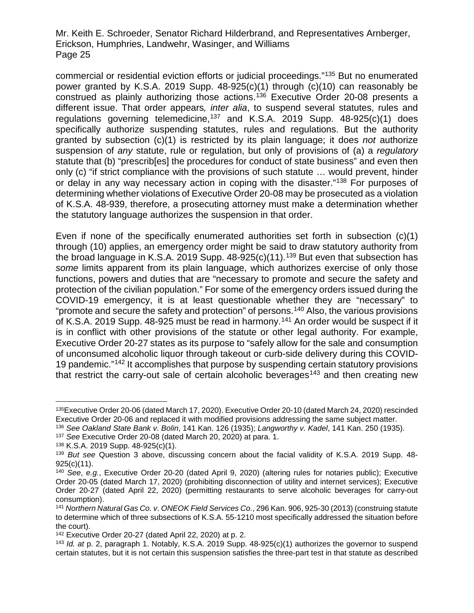commercial or residential eviction efforts or judicial proceedings."[135](#page-24-0) But no enumerated power granted by K.S.A. 2019 Supp. 48-925(c)(1) through (c)(10) can reasonably be construed as plainly authorizing those actions.[136](#page-24-1) Executive Order 20-08 presents a different issue. That order appears*, inter alia*, to suspend several statutes, rules and regulations governing telemedicine,<sup>[137](#page-24-2)</sup> and K.S.A. 2019 Supp.  $48-925(c)(1)$  does specifically authorize suspending statutes, rules and regulations. But the authority granted by subsection (c)(1) is restricted by its plain language; it does *not* authorize suspension of *any* statute, rule or regulation, but only of provisions of (a) a *regulatory* statute that (b) "prescrib[es] the procedures for conduct of state business" and even then only (c) "if strict compliance with the provisions of such statute … would prevent, hinder or delay in any way necessary action in coping with the disaster."[138](#page-24-3) For purposes of determining whether violations of Executive Order 20-08 may be prosecuted as a violation of K.S.A. 48-939, therefore, a prosecuting attorney must make a determination whether the statutory language authorizes the suspension in that order.

Even if none of the specifically enumerated authorities set forth in subsection (c)(1) through (10) applies, an emergency order might be said to draw statutory authority from the broad language in K.S.A. 2019 Supp.  $48-925(c)(11)$ .<sup>139</sup> But even that subsection has *some* limits apparent from its plain language, which authorizes exercise of only those functions, powers and duties that are "necessary to promote and secure the safety and protection of the civilian population." For some of the emergency orders issued during the COVID-19 emergency, it is at least questionable whether they are "necessary" to "promote and secure the safety and protection" of persons.[140](#page-24-5) Also, the various provisions of K.S.A. 2019 Supp. 48-925 must be read in harmony.<sup>[141](#page-24-6)</sup> An order would be suspect if it is in conflict with other provisions of the statute or other legal authority. For example, Executive Order 20-27 states as its purpose to "safely allow for the sale and consumption of unconsumed alcoholic liquor through takeout or curb-side delivery during this COVID-19 pandemic."[142](#page-24-7) It accomplishes that purpose by suspending certain statutory provisions that restrict the carry-out sale of certain alcoholic beverages<sup>[143](#page-24-8)</sup> and then creating new

<span id="page-24-0"></span> <sup>135</sup>Executive Order 20-06 (dated March 17, 2020). Executive Order 20-10 (dated March 24, 2020) rescinded Executive Order 20-06 and replaced it with modified provisions addressing the same subject matter.

<span id="page-24-1"></span><sup>136</sup> *See Oakland State Bank v. Bolin*, 141 Kan. 126 (1935); *Langworthy v. Kadel*, 141 Kan. 250 (1935).

<span id="page-24-2"></span><sup>137</sup> *See* Executive Order 20-08 (dated March 20, 2020) at para. 1.

<span id="page-24-3"></span><sup>138</sup> K.S.A. 2019 Supp. 48-925(c)(1).

<span id="page-24-4"></span><sup>139</sup> *But see* Question 3 above, discussing concern about the facial validity of K.S.A. 2019 Supp. 48- 925(c)(11).

<span id="page-24-5"></span><sup>140</sup> *See*, *e.g.*, Executive Order 20-20 (dated April 9, 2020) (altering rules for notaries public); Executive Order 20-05 (dated March 17, 2020) (prohibiting disconnection of utility and internet services); Executive Order 20-27 (dated April 22, 2020) (permitting restaurants to serve alcoholic beverages for carry-out consumption).

<span id="page-24-6"></span><sup>141</sup> *Northern Natural Gas Co. v. ONEOK Field Services Co.*, 296 Kan. 906, 925-30 (2013) (construing statute to determine which of three subsections of K.S.A. 55-1210 most specifically addressed the situation before the court).

<span id="page-24-7"></span><sup>142</sup> Executive Order 20-27 (dated April 22, 2020) at p. 2.

<span id="page-24-8"></span><sup>143</sup> *Id. at* p. 2, paragraph 1. Notably, K.S.A. 2019 Supp. 48-925(c)(1) authorizes the governor to suspend certain statutes, but it is not certain this suspension satisfies the three-part test in that statute as described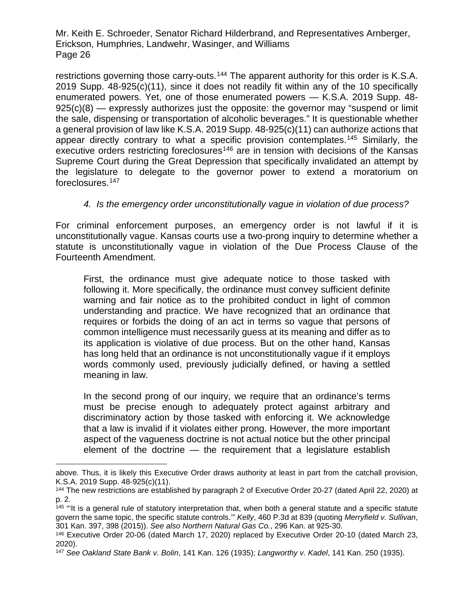restrictions governing those carry-outs.<sup>[144](#page-25-0)</sup> The apparent authority for this order is K.S.A. 2019 Supp. 48-925(c)(11), since it does not readily fit within any of the 10 specifically enumerated powers. Yet, one of those enumerated powers — K.S.A. 2019 Supp. 48-  $925(c)(8)$  — expressly authorizes just the opposite: the governor may "suspend or limit the sale, dispensing or transportation of alcoholic beverages." It is questionable whether a general provision of law like K.S.A. 2019 Supp. 48-925(c)(11) can authorize actions that appear directly contrary to what a specific provision contemplates.[145](#page-25-1) Similarly, the executive orders restricting foreclosures<sup>[146](#page-25-2)</sup> are in tension with decisions of the Kansas Supreme Court during the Great Depression that specifically invalidated an attempt by the legislature to delegate to the governor power to extend a moratorium on foreclosures.[147](#page-25-3) 

## *4. Is the emergency order unconstitutionally vague in violation of due process?*

For criminal enforcement purposes, an emergency order is not lawful if it is unconstitutionally vague. Kansas courts use a two-prong inquiry to determine whether a statute is unconstitutionally vague in violation of the Due Process Clause of the Fourteenth Amendment.

First, the ordinance must give adequate notice to those tasked with following it. More specifically, the ordinance must convey sufficient definite warning and fair notice as to the prohibited conduct in light of common understanding and practice. We have recognized that an ordinance that requires or forbids the doing of an act in terms so vague that persons of common intelligence must necessarily guess at its meaning and differ as to its application is violative of due process. But on the other hand, Kansas has long held that an ordinance is not unconstitutionally vague if it employs words commonly used, previously judicially defined, or having a settled meaning in law.

In the second prong of our inquiry, we require that an ordinance's terms must be precise enough to adequately protect against arbitrary and discriminatory action by those tasked with enforcing it. We acknowledge that a law is invalid if it violates either prong. However, the more important aspect of the vagueness doctrine is not actual notice but the other principal element of the doctrine — the requirement that a legislature establish

 $\overline{a}$ 

above. Thus, it is likely this Executive Order draws authority at least in part from the catchall provision, K.S.A. 2019 Supp. 48-925(c)(11).

<span id="page-25-0"></span><sup>144</sup> The new restrictions are established by paragraph 2 of Executive Order 20-27 (dated April 22, 2020) at p. 2.

<span id="page-25-1"></span><sup>&</sup>lt;sup>145</sup> "It is a general rule of statutory interpretation that, when both a general statute and a specific statute govern the same topic, the specific statute controls.'" *Kelly*, 460 P.3d at 839 (quoting *Merryfield v. Sullivan*, 301 Kan. 397, 398 (2015)). *See also Northern Natural Gas Co.*, 296 Kan. at 925-30.

<span id="page-25-2"></span><sup>146</sup> Executive Order 20-06 (dated March 17, 2020) replaced by Executive Order 20-10 (dated March 23, 2020).

<span id="page-25-3"></span><sup>147</sup> *See Oakland State Bank v. Bolin*, 141 Kan. 126 (1935); *Langworthy v. Kadel*, 141 Kan. 250 (1935).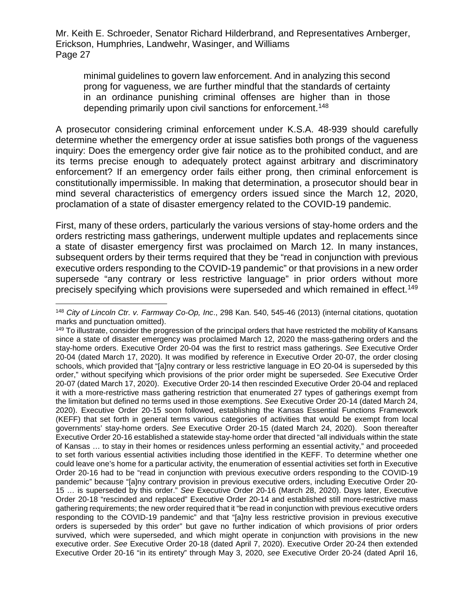minimal guidelines to govern law enforcement. And in analyzing this second prong for vagueness, we are further mindful that the standards of certainty in an ordinance punishing criminal offenses are higher than in those depending primarily upon civil sanctions for enforcement.<sup>[148](#page-26-0)</sup>

A prosecutor considering criminal enforcement under K.S.A. 48-939 should carefully determine whether the emergency order at issue satisfies both prongs of the vagueness inquiry: Does the emergency order give fair notice as to the prohibited conduct, and are its terms precise enough to adequately protect against arbitrary and discriminatory enforcement? If an emergency order fails either prong, then criminal enforcement is constitutionally impermissible. In making that determination, a prosecutor should bear in mind several characteristics of emergency orders issued since the March 12, 2020, proclamation of a state of disaster emergency related to the COVID-19 pandemic.

First, many of these orders, particularly the various versions of stay-home orders and the orders restricting mass gatherings, underwent multiple updates and replacements since a state of disaster emergency first was proclaimed on March 12. In many instances, subsequent orders by their terms required that they be "read in conjunction with previous executive orders responding to the COVID-19 pandemic" or that provisions in a new order supersede "any contrary or less restrictive language" in prior orders without more precisely specifying which provisions were superseded and which remained in effect.<sup>[149](#page-26-1)</sup>

<span id="page-26-0"></span> <sup>148</sup> *City of Lincoln Ctr. v. Farmway Co-Op, Inc*., 298 Kan. 540, 545-46 (2013) (internal citations, quotation marks and punctuation omitted).

<span id="page-26-1"></span><sup>&</sup>lt;sup>149</sup> To illustrate, consider the progression of the principal orders that have restricted the mobility of Kansans since a state of disaster emergency was proclaimed March 12, 2020 the mass-gathering orders and the stay-home orders. Executive Order 20-04 was the first to restrict mass gatherings. *See* Executive Order 20-04 (dated March 17, 2020). It was modified by reference in Executive Order 20-07, the order closing schools, which provided that "[a]ny contrary or less restrictive language in EO 20-04 is superseded by this order," without specifying which provisions of the prior order might be superseded. *See* Executive Order 20-07 (dated March 17, 2020). Executive Order 20-14 then rescinded Executive Order 20-04 and replaced it with a more-restrictive mass gathering restriction that enumerated 27 types of gatherings exempt from the limitation but defined no terms used in those exemptions. *See* Executive Order 20-14 (dated March 24, 2020). Executive Order 20-15 soon followed, establishing the Kansas Essential Functions Framework (KEFF) that set forth in general terms various categories of activities that would be exempt from local governments' stay-home orders. *See* Executive Order 20-15 (dated March 24, 2020). Soon thereafter Executive Order 20-16 established a statewide stay-home order that directed "all individuals within the state of Kansas … to stay in their homes or residences unless performing an essential activity," and proceeded to set forth various essential activities including those identified in the KEFF. To determine whether one could leave one's home for a particular activity, the enumeration of essential activities set forth in Executive Order 20-16 had to be "read in conjunction with previous executive orders responding to the COVID-19 pandemic" because "[a]ny contrary provision in previous executive orders, including Executive Order 20- 15 … is superseded by this order." *See* Executive Order 20-16 (March 28, 2020). Days later, Executive Order 20-18 "rescinded and replaced" Executive Order 20-14 and established still more-restrictive mass gathering requirements; the new order required that it "be read in conjunction with previous executive orders responding to the COVID-19 pandemic" and that "[a]ny less restrictive provision in previous executive orders is superseded by this order" but gave no further indication of which provisions of prior orders survived, which were superseded, and which might operate in conjunction with provisions in the new executive order. *See* Executive Order 20-18 (dated April 7, 2020). Executive Order 20-24 then extended Executive Order 20-16 "in its entirety" through May 3, 2020, *see* Executive Order 20-24 (dated April 16,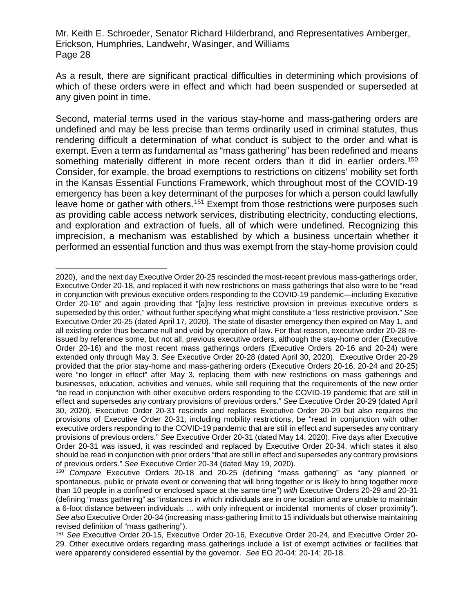As a result, there are significant practical difficulties in determining which provisions of which of these orders were in effect and which had been suspended or superseded at any given point in time.

Second, material terms used in the various stay-home and mass-gathering orders are undefined and may be less precise than terms ordinarily used in criminal statutes, thus rendering difficult a determination of what conduct is subject to the order and what is exempt. Even a term as fundamental as "mass gathering" has been redefined and means something materially different in more recent orders than it did in earlier orders.<sup>[150](#page-27-0)</sup> Consider, for example, the broad exemptions to restrictions on citizens' mobility set forth in the Kansas Essential Functions Framework, which throughout most of the COVID-19 emergency has been a key determinant of the purposes for which a person could lawfully leave home or gather with others.<sup>[151](#page-27-1)</sup> Exempt from those restrictions were purposes such as providing cable access network services, distributing electricity, conducting elections, and exploration and extraction of fuels, all of which were undefined. Recognizing this imprecision, a mechanism was established by which a business uncertain whether it performed an essential function and thus was exempt from the stay-home provision could

 $\overline{a}$ 2020), and the next day Executive Order 20-25 rescinded the most-recent previous mass-gatherings order, Executive Order 20-18, and replaced it with new restrictions on mass gatherings that also were to be "read in conjunction with previous executive orders responding to the COVID-19 pandemic—including Executive Order 20-16" and again providing that "[a]ny less restrictive provision in previous executive orders is superseded by this order," without further specifying what might constitute a "less restrictive provision." *See* Executive Order 20-25 (dated April 17, 2020). The state of disaster emergency then expired on May 1, and all existing order thus became null and void by operation of law. For that reason, executive order 20-28 reissued by reference some, but not all, previous executive orders, although the stay-home order (Executive Order 20-16) and the most recent mass gatherings orders (Executive Orders 20-16 and 20-24) were extended only through May 3. *See* Executive Order 20-28 (dated April 30, 2020). Executive Order 20-29 provided that the prior stay-home and mass-gathering orders (Executive Orders 20-16, 20-24 and 20-25) were "no longer in effect" after May 3, replacing them with new restrictions on mass gatherings and businesses, education, activities and venues, while still requiring that the requirements of the new order "be read in conjunction with other executive orders responding to the COVID-19 pandemic that are still in effect and supersedes any contrary provisions of previous orders." *See* Executive Order 20-29 (dated April 30, 2020). Executive Order 20-31 rescinds and replaces Executive Order 20-29 but also requires the provisions of Executive Order 20-31, including mobility restrictions, be "read in conjunction with other executive orders responding to the COVID-19 pandemic that are still in effect and supersedes any contrary provisions of previous orders." *See* Executive Order 20-31 (dated May 14, 2020). Five days after Executive Order 20-31 was issued, it was rescinded and replaced by Executive Order 20-34, which states it also should be read in conjunction with prior orders "that are still in effect and supersedes any contrary provisions of previous orders." *See* Executive Order 20-34 (dated May 19, 2020).

<span id="page-27-0"></span><sup>150</sup> *Compare* Executive Orders 20-18 and 20-25 (defining "mass gathering" as "any planned or spontaneous, public or private event or convening that will bring together or is likely to bring together more than 10 people in a confined or enclosed space at the same time") *with* Executive Orders 20-29 and 20-31 (defining "mass gathering" as "instances in which individuals are in one location and are unable to maintain a 6-foot distance between individuals … with only infrequent or incidental moments of closer proximity"). *See also* Executive Order 20-34 (increasing mass-gathering limit to 15 individuals but otherwise maintaining revised definition of "mass gathering").

<span id="page-27-1"></span><sup>151</sup> *See* Executive Order 20-15, Executive Order 20-16, Executive Order 20-24, and Executive Order 20- 29. Other executive orders regarding mass gatherings include a list of exempt activities or facilities that were apparently considered essential by the governor. *See* EO 20-04; 20-14; 20-18.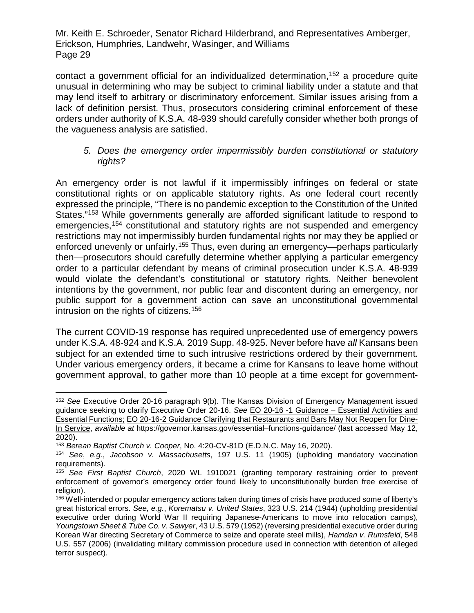contact a government official for an individualized determination,<sup>[152](#page-28-0)</sup> a procedure quite unusual in determining who may be subject to criminal liability under a statute and that may lend itself to arbitrary or discriminatory enforcement. Similar issues arising from a lack of definition persist. Thus, prosecutors considering criminal enforcement of these orders under authority of K.S.A. 48-939 should carefully consider whether both prongs of the vagueness analysis are satisfied.

### *5. Does the emergency order impermissibly burden constitutional or statutory rights?*

An emergency order is not lawful if it impermissibly infringes on federal or state constitutional rights or on applicable statutory rights. As one federal court recently expressed the principle, "There is no pandemic exception to the Constitution of the United States."<sup>[153](#page-28-1)</sup> While governments generally are afforded significant latitude to respond to emergencies,<sup>[154](#page-28-2)</sup> constitutional and statutory rights are not suspended and emergency restrictions may not impermissibly burden fundamental rights nor may they be applied or enforced unevenly or unfairly.<sup>[155](#page-28-3)</sup> Thus, even during an emergency—perhaps particularly then—prosecutors should carefully determine whether applying a particular emergency order to a particular defendant by means of criminal prosecution under K.S.A. 48-939 would violate the defendant's constitutional or statutory rights. Neither benevolent intentions by the government, nor public fear and discontent during an emergency, nor public support for a government action can save an unconstitutional governmental intrusion on the rights of citizens.[156](#page-28-4)

The current COVID-19 response has required unprecedented use of emergency powers under K.S.A. 48-924 and K.S.A. 2019 Supp. 48-925. Never before have *all* Kansans been subject for an extended time to such intrusive restrictions ordered by their government. Under various emergency orders, it became a crime for Kansans to leave home without government approval, to gather more than 10 people at a time except for government-

<span id="page-28-0"></span> <sup>152</sup> *See* Executive Order 20-16 paragraph 9(b). The Kansas Division of Emergency Management issued guidance seeking to clarify Executive Order 20-16. *See* EO 20-16 -1 Guidance – Essential Activities and Essential Functions; EO 20-16-2 Guidance Clarifying that Restaurants and Bars May Not Reopen for Dine-In Service, *available at* https://governor.kansas.gov/essential–functions-guidance/ (last accessed May 12, 2020).

<span id="page-28-1"></span><sup>153</sup> *Berean Baptist Church v. Cooper*, No. 4:20-CV-81D (E.D.N.C. May 16, 2020).

<span id="page-28-2"></span><sup>154</sup> *See*, *e.g.*, *Jacobson v. Massachusetts*, 197 U.S. 11 (1905) (upholding mandatory vaccination requirements).

<span id="page-28-3"></span><sup>155</sup> *See First Baptist Church*, 2020 WL 1910021 (granting temporary restraining order to prevent enforcement of governor's emergency order found likely to unconstitutionally burden free exercise of religion).

<span id="page-28-4"></span><sup>156</sup> Well-intended or popular emergency actions taken during times of crisis have produced some of liberty's great historical errors. *See, e.g.*, *Korematsu v. United States*, 323 U.S. 214 (1944) (upholding presidential executive order during World War II requiring Japanese-Americans to move into relocation camps), *Youngstown Sheet & Tube Co. v. Sawyer*, 43 U.S. 579 (1952) (reversing presidential executive order during Korean War directing Secretary of Commerce to seize and operate steel mills), *Hamdan v. Rumsfeld*, 548 U.S. 557 (2006) (invalidating military commission procedure used in connection with detention of alleged terror suspect).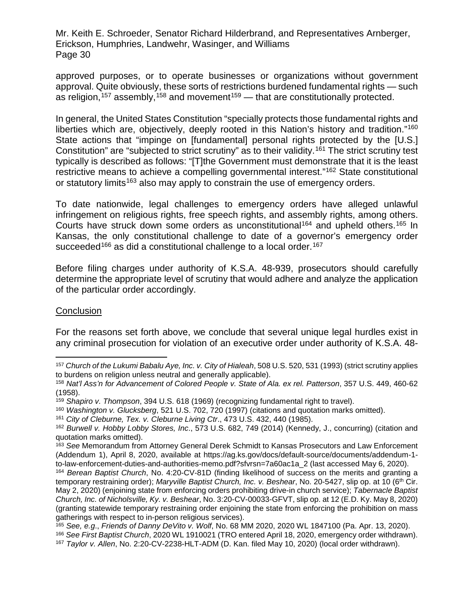approved purposes, or to operate businesses or organizations without government approval. Quite obviously, these sorts of restrictions burdened fundamental rights — such as religion,<sup>[157](#page-29-0)</sup> assembly,<sup>[158](#page-29-1)</sup> and movement<sup>[159](#page-29-2)</sup> — that are constitutionally protected.

In general, the United States Constitution "specially protects those fundamental rights and liberties which are, objectively, deeply rooted in this Nation's history and tradition."<sup>[160](#page-29-3)</sup> State actions that "impinge on [fundamental] personal rights protected by the [U.S.] Constitution" are "subjected to strict scrutiny" as to their validity.<sup>[161](#page-29-4)</sup> The strict scrutiny test typically is described as follows: "[T]the Government must demonstrate that it is the least restrictive means to achieve a compelling governmental interest."<sup>[162](#page-29-5)</sup> State constitutional or statutory limits<sup>[163](#page-29-6)</sup> also may apply to constrain the use of emergency orders.

To date nationwide, legal challenges to emergency orders have alleged unlawful infringement on religious rights, free speech rights, and assembly rights, among others. Courts have struck down some orders as unconstitutional<sup>[164](#page-29-7)</sup> and upheld others.<sup>[165](#page-29-8)</sup> In Kansas, the only constitutional challenge to date of a governor's emergency order succeeded<sup>[166](#page-29-9)</sup> as did a constitutional challenge to a local order.<sup>[167](#page-29-10)</sup>

Before filing charges under authority of K.S.A. 48-939, prosecutors should carefully determine the appropriate level of scrutiny that would adhere and analyze the application of the particular order accordingly.

#### **Conclusion**

For the reasons set forth above, we conclude that several unique legal hurdles exist in any criminal prosecution for violation of an executive order under authority of K.S.A. 48-

<span id="page-29-0"></span> <sup>157</sup> *Church of the Lukumi Babalu Aye, Inc. v. City of Hialeah*, 508 U.S. 520, 531 (1993) (strict scrutiny applies to burdens on religion unless neutral and generally applicable).

<span id="page-29-1"></span><sup>158</sup> *Nat'l Ass'n for Advancement of Colored People v. State of Ala. ex rel. Patterson*, 357 U.S. 449, 460-62 (1958).

<span id="page-29-2"></span><sup>159</sup> *Shapiro v. Thompson*, 394 U.S. 618 (1969) (recognizing fundamental right to travel).

<span id="page-29-3"></span><sup>160</sup> *Washington v. Glucksberg*, 521 U.S. 702, 720 (1997) (citations and quotation marks omitted).

<span id="page-29-4"></span><sup>161</sup> *City of Cleburne, Tex. v. Cleburne Living Ctr*., 473 U.S. 432, 440 (1985).

<span id="page-29-5"></span><sup>162</sup> *Burwell v. Hobby Lobby Stores, Inc*., 573 U.S. 682, 749 (2014) (Kennedy, J., concurring) (citation and quotation marks omitted).

<span id="page-29-6"></span><sup>163</sup> *See* Memorandum from Attorney General Derek Schmidt to Kansas Prosecutors and Law Enforcement (Addendum 1), April 8, 2020, available at https://ag.ks.gov/docs/default-source/documents/addendum-1 to-law-enforcement-duties-and-authorities-memo.pdf?sfvrsn=7a60ac1a\_2 (last accessed May 6, 2020).

<span id="page-29-7"></span><sup>164</sup> *Berean Baptist Church*, No. 4:20-CV-81D (finding likelihood of success on the merits and granting a temporary restraining order); *Maryville Baptist Church, Inc. v. Beshear*, No. 20-5427, slip op. at 10 (6th Cir. May 2, 2020) (enjoining state from enforcing orders prohibiting drive-in church service); *Tabernacle Baptist Church, Inc. of Nicholsville, Ky. v. Beshear*, No. 3:20-CV-00033-GFVT, slip op. at 12 (E.D. Ky. May 8, 2020) (granting statewide temporary restraining order enjoining the state from enforcing the prohibition on mass gatherings with respect to in-person religious services).

<span id="page-29-8"></span><sup>165</sup> *See, e.g*., *Friends of Danny DeVito v. Wolf*, No. 68 MM 2020, 2020 WL 1847100 (Pa. Apr. 13, 2020).

<span id="page-29-9"></span><sup>166</sup> *See First Baptist Church*, 2020 WL 1910021 (TRO entered April 18, 2020, emergency order withdrawn).

<span id="page-29-10"></span><sup>167</sup> *Taylor v. Allen*, No. 2:20-CV-2238-HLT-ADM (D. Kan. filed May 10, 2020) (local order withdrawn).